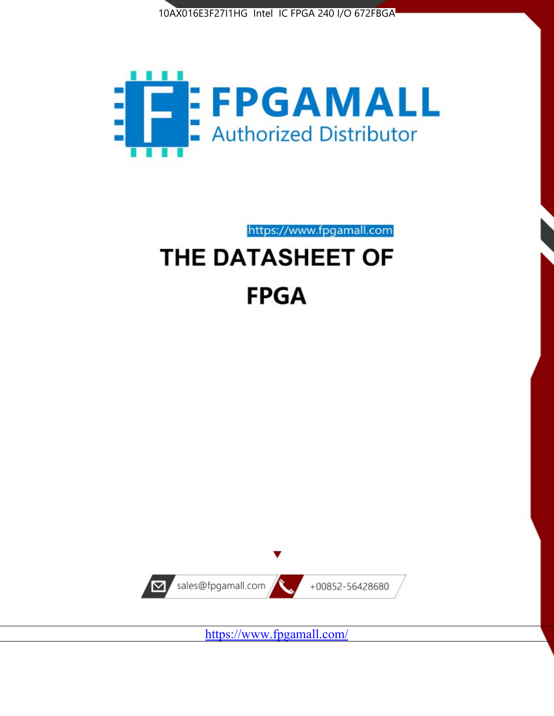



https://www.fpgamall.com THE DATASHEET OF

# **FPGA**



<https://www.fpgamall.com/>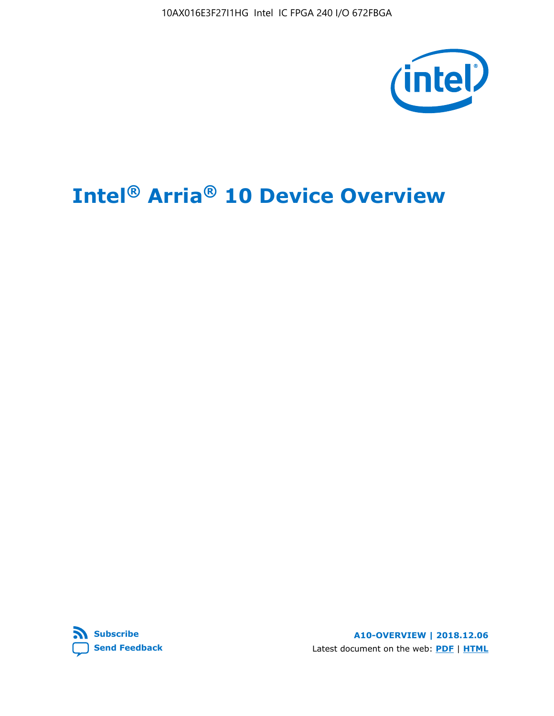10AX016E3F27I1HG Intel IC FPGA 240 I/O 672FBGA



# **Intel® Arria® 10 Device Overview**



**A10-OVERVIEW | 2018.12.06** Latest document on the web: **[PDF](https://www.intel.com/content/dam/www/programmable/us/en/pdfs/literature/hb/arria-10/a10_overview.pdf)** | **[HTML](https://www.intel.com/content/www/us/en/programmable/documentation/sam1403480274650.html)**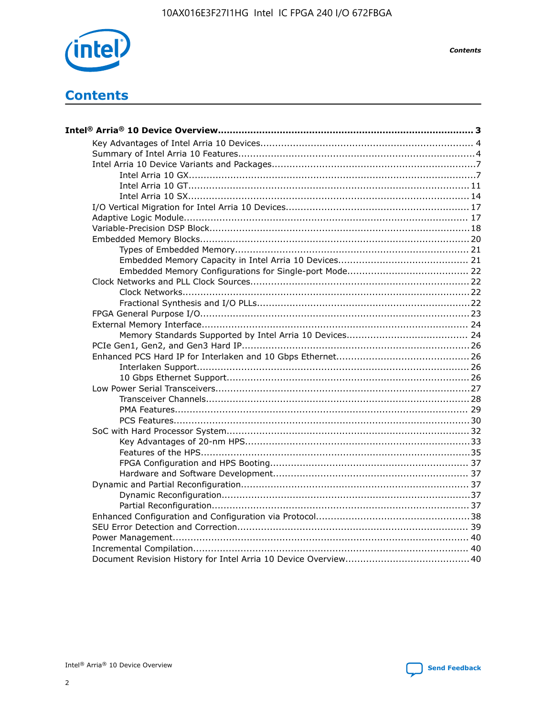

**Contents**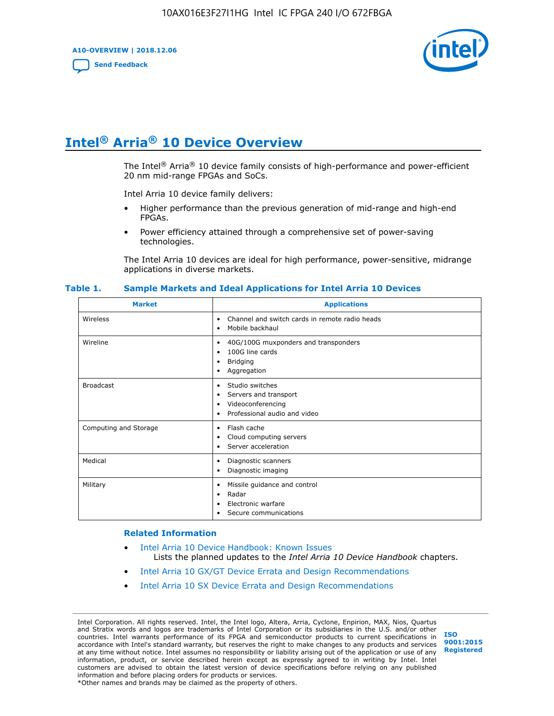**A10-OVERVIEW | 2018.12.06**

**[Send Feedback](mailto:FPGAtechdocfeedback@intel.com?subject=Feedback%20on%20Intel%20Arria%2010%20Device%20Overview%20(A10-OVERVIEW%202018.12.06)&body=We%20appreciate%20your%20feedback.%20In%20your%20comments,%20also%20specify%20the%20page%20number%20or%20paragraph.%20Thank%20you.)**



# **Intel® Arria® 10 Device Overview**

The Intel<sup>®</sup> Arria<sup>®</sup> 10 device family consists of high-performance and power-efficient 20 nm mid-range FPGAs and SoCs.

Intel Arria 10 device family delivers:

- Higher performance than the previous generation of mid-range and high-end FPGAs.
- Power efficiency attained through a comprehensive set of power-saving technologies.

The Intel Arria 10 devices are ideal for high performance, power-sensitive, midrange applications in diverse markets.

| <b>Market</b>         | <b>Applications</b>                                                                                               |
|-----------------------|-------------------------------------------------------------------------------------------------------------------|
| Wireless              | Channel and switch cards in remote radio heads<br>٠<br>Mobile backhaul<br>٠                                       |
| Wireline              | 40G/100G muxponders and transponders<br>٠<br>100G line cards<br>٠<br><b>Bridging</b><br>٠<br>Aggregation<br>٠     |
| <b>Broadcast</b>      | Studio switches<br>٠<br>Servers and transport<br>٠<br>Videoconferencing<br>٠<br>Professional audio and video<br>٠ |
| Computing and Storage | Flash cache<br>٠<br>Cloud computing servers<br>٠<br>Server acceleration<br>٠                                      |
| Medical               | Diagnostic scanners<br>٠<br>Diagnostic imaging<br>٠                                                               |
| Military              | Missile guidance and control<br>٠<br>Radar<br>٠<br>Electronic warfare<br>٠<br>Secure communications<br>٠          |

#### **Table 1. Sample Markets and Ideal Applications for Intel Arria 10 Devices**

#### **Related Information**

- [Intel Arria 10 Device Handbook: Known Issues](http://www.altera.com/support/kdb/solutions/rd07302013_646.html) Lists the planned updates to the *Intel Arria 10 Device Handbook* chapters.
- [Intel Arria 10 GX/GT Device Errata and Design Recommendations](https://www.intel.com/content/www/us/en/programmable/documentation/agz1493851706374.html#yqz1494433888646)
- [Intel Arria 10 SX Device Errata and Design Recommendations](https://www.intel.com/content/www/us/en/programmable/documentation/cru1462832385668.html#cru1462832558642)

Intel Corporation. All rights reserved. Intel, the Intel logo, Altera, Arria, Cyclone, Enpirion, MAX, Nios, Quartus and Stratix words and logos are trademarks of Intel Corporation or its subsidiaries in the U.S. and/or other countries. Intel warrants performance of its FPGA and semiconductor products to current specifications in accordance with Intel's standard warranty, but reserves the right to make changes to any products and services at any time without notice. Intel assumes no responsibility or liability arising out of the application or use of any information, product, or service described herein except as expressly agreed to in writing by Intel. Intel customers are advised to obtain the latest version of device specifications before relying on any published information and before placing orders for products or services. \*Other names and brands may be claimed as the property of others.

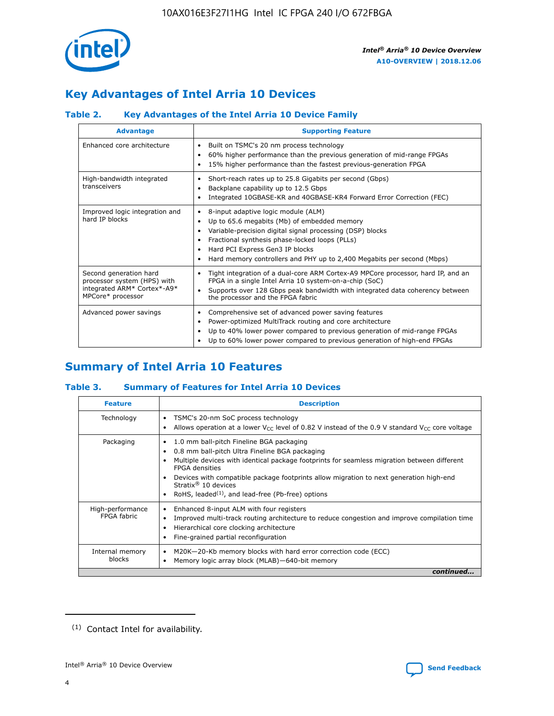

# **Key Advantages of Intel Arria 10 Devices**

# **Table 2. Key Advantages of the Intel Arria 10 Device Family**

| <b>Advantage</b>                                                                                          | <b>Supporting Feature</b>                                                                                                                                                                                                                                                                                                |  |  |  |  |  |
|-----------------------------------------------------------------------------------------------------------|--------------------------------------------------------------------------------------------------------------------------------------------------------------------------------------------------------------------------------------------------------------------------------------------------------------------------|--|--|--|--|--|
| Enhanced core architecture                                                                                | Built on TSMC's 20 nm process technology<br>٠<br>60% higher performance than the previous generation of mid-range FPGAs<br>٠<br>15% higher performance than the fastest previous-generation FPGA                                                                                                                         |  |  |  |  |  |
| High-bandwidth integrated<br>transceivers                                                                 | Short-reach rates up to 25.8 Gigabits per second (Gbps)<br>٠<br>Backplane capability up to 12.5 Gbps<br>٠<br>Integrated 10GBASE-KR and 40GBASE-KR4 Forward Error Correction (FEC)                                                                                                                                        |  |  |  |  |  |
| Improved logic integration and<br>hard IP blocks                                                          | 8-input adaptive logic module (ALM)<br>٠<br>Up to 65.6 megabits (Mb) of embedded memory<br>٠<br>Variable-precision digital signal processing (DSP) blocks<br>Fractional synthesis phase-locked loops (PLLs)<br>Hard PCI Express Gen3 IP blocks<br>Hard memory controllers and PHY up to 2,400 Megabits per second (Mbps) |  |  |  |  |  |
| Second generation hard<br>processor system (HPS) with<br>integrated ARM* Cortex*-A9*<br>MPCore* processor | Tight integration of a dual-core ARM Cortex-A9 MPCore processor, hard IP, and an<br>٠<br>FPGA in a single Intel Arria 10 system-on-a-chip (SoC)<br>Supports over 128 Gbps peak bandwidth with integrated data coherency between<br>the processor and the FPGA fabric                                                     |  |  |  |  |  |
| Advanced power savings                                                                                    | Comprehensive set of advanced power saving features<br>٠<br>Power-optimized MultiTrack routing and core architecture<br>٠<br>Up to 40% lower power compared to previous generation of mid-range FPGAs<br>Up to 60% lower power compared to previous generation of high-end FPGAs                                         |  |  |  |  |  |

# **Summary of Intel Arria 10 Features**

## **Table 3. Summary of Features for Intel Arria 10 Devices**

| <b>Feature</b>                  | <b>Description</b>                                                                                                                                                                                                                                                                                                                                                                                       |
|---------------------------------|----------------------------------------------------------------------------------------------------------------------------------------------------------------------------------------------------------------------------------------------------------------------------------------------------------------------------------------------------------------------------------------------------------|
| Technology                      | TSMC's 20-nm SoC process technology<br>٠<br>Allows operation at a lower $V_{\text{CC}}$ level of 0.82 V instead of the 0.9 V standard $V_{\text{CC}}$ core voltage                                                                                                                                                                                                                                       |
| Packaging                       | 1.0 mm ball-pitch Fineline BGA packaging<br>0.8 mm ball-pitch Ultra Fineline BGA packaging<br>Multiple devices with identical package footprints for seamless migration between different<br><b>FPGA</b> densities<br>Devices with compatible package footprints allow migration to next generation high-end<br>Stratix $\mathcal{R}$ 10 devices<br>RoHS, leaded $(1)$ , and lead-free (Pb-free) options |
| High-performance<br>FPGA fabric | Enhanced 8-input ALM with four registers<br>٠<br>Improved multi-track routing architecture to reduce congestion and improve compilation time<br>Hierarchical core clocking architecture<br>Fine-grained partial reconfiguration                                                                                                                                                                          |
| Internal memory<br>blocks       | M20K-20-Kb memory blocks with hard error correction code (ECC)<br>Memory logic array block (MLAB)-640-bit memory                                                                                                                                                                                                                                                                                         |
|                                 | continued                                                                                                                                                                                                                                                                                                                                                                                                |



<sup>(1)</sup> Contact Intel for availability.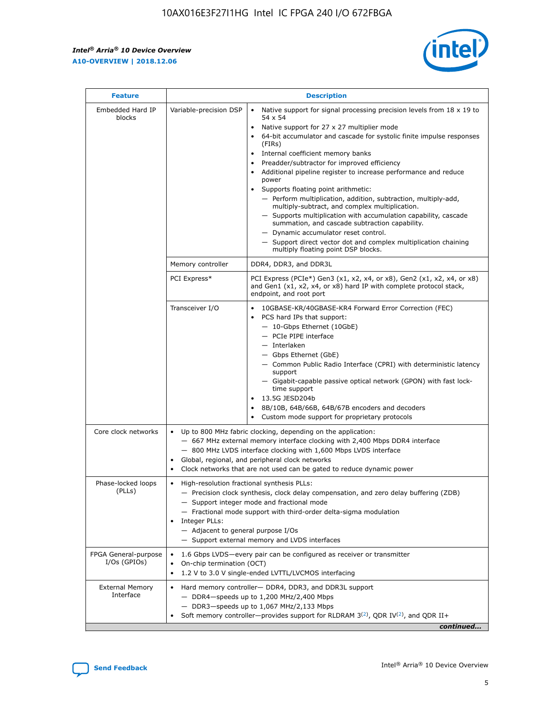$\mathsf{r}$ 



| <b>Feature</b>                         |                                                                                                                | <b>Description</b>                                                                                                                                                                                                                                                                                                                                                                                                                                                                                                                                                                                                                                                                                                                                                                                                                          |
|----------------------------------------|----------------------------------------------------------------------------------------------------------------|---------------------------------------------------------------------------------------------------------------------------------------------------------------------------------------------------------------------------------------------------------------------------------------------------------------------------------------------------------------------------------------------------------------------------------------------------------------------------------------------------------------------------------------------------------------------------------------------------------------------------------------------------------------------------------------------------------------------------------------------------------------------------------------------------------------------------------------------|
| Embedded Hard IP<br>blocks             | Variable-precision DSP                                                                                         | Native support for signal processing precision levels from $18 \times 19$ to<br>$\bullet$<br>54 x 54<br>Native support for 27 x 27 multiplier mode<br>64-bit accumulator and cascade for systolic finite impulse responses<br>(FIRS)<br>Internal coefficient memory banks<br>٠<br>Preadder/subtractor for improved efficiency<br>Additional pipeline register to increase performance and reduce<br>power<br>Supports floating point arithmetic:<br>- Perform multiplication, addition, subtraction, multiply-add,<br>multiply-subtract, and complex multiplication.<br>- Supports multiplication with accumulation capability, cascade<br>summation, and cascade subtraction capability.<br>- Dynamic accumulator reset control.<br>- Support direct vector dot and complex multiplication chaining<br>multiply floating point DSP blocks. |
|                                        | Memory controller                                                                                              | DDR4, DDR3, and DDR3L                                                                                                                                                                                                                                                                                                                                                                                                                                                                                                                                                                                                                                                                                                                                                                                                                       |
|                                        | PCI Express*                                                                                                   | PCI Express (PCIe*) Gen3 (x1, x2, x4, or x8), Gen2 (x1, x2, x4, or x8)<br>and Gen1 (x1, x2, x4, or x8) hard IP with complete protocol stack,<br>endpoint, and root port                                                                                                                                                                                                                                                                                                                                                                                                                                                                                                                                                                                                                                                                     |
|                                        | Transceiver I/O                                                                                                | 10GBASE-KR/40GBASE-KR4 Forward Error Correction (FEC)<br>PCS hard IPs that support:<br>- 10-Gbps Ethernet (10GbE)<br>- PCIe PIPE interface<br>- Interlaken<br>- Gbps Ethernet (GbE)<br>- Common Public Radio Interface (CPRI) with deterministic latency<br>support<br>- Gigabit-capable passive optical network (GPON) with fast lock-<br>time support<br>13.5G JESD204b<br>8B/10B, 64B/66B, 64B/67B encoders and decoders<br>Custom mode support for proprietary protocols                                                                                                                                                                                                                                                                                                                                                                |
| Core clock networks                    | $\bullet$                                                                                                      | Up to 800 MHz fabric clocking, depending on the application:<br>- 667 MHz external memory interface clocking with 2,400 Mbps DDR4 interface<br>- 800 MHz LVDS interface clocking with 1,600 Mbps LVDS interface<br>Global, regional, and peripheral clock networks<br>Clock networks that are not used can be gated to reduce dynamic power                                                                                                                                                                                                                                                                                                                                                                                                                                                                                                 |
| Phase-locked loops<br>(PLLs)           | High-resolution fractional synthesis PLLs:<br>$\bullet$<br>Integer PLLs:<br>- Adjacent to general purpose I/Os | - Precision clock synthesis, clock delay compensation, and zero delay buffering (ZDB)<br>- Support integer mode and fractional mode<br>- Fractional mode support with third-order delta-sigma modulation<br>- Support external memory and LVDS interfaces                                                                                                                                                                                                                                                                                                                                                                                                                                                                                                                                                                                   |
| FPGA General-purpose<br>$I/Os$ (GPIOs) | On-chip termination (OCT)<br>$\bullet$                                                                         | 1.6 Gbps LVDS-every pair can be configured as receiver or transmitter<br>1.2 V to 3.0 V single-ended LVTTL/LVCMOS interfacing                                                                                                                                                                                                                                                                                                                                                                                                                                                                                                                                                                                                                                                                                                               |
| <b>External Memory</b><br>Interface    |                                                                                                                | Hard memory controller- DDR4, DDR3, and DDR3L support<br>$-$ DDR4-speeds up to 1,200 MHz/2,400 Mbps<br>- DDR3-speeds up to 1,067 MHz/2,133 Mbps<br>Soft memory controller—provides support for RLDRAM $3^{(2)}$ , QDR IV $(2)$ , and QDR II+<br>continued                                                                                                                                                                                                                                                                                                                                                                                                                                                                                                                                                                                   |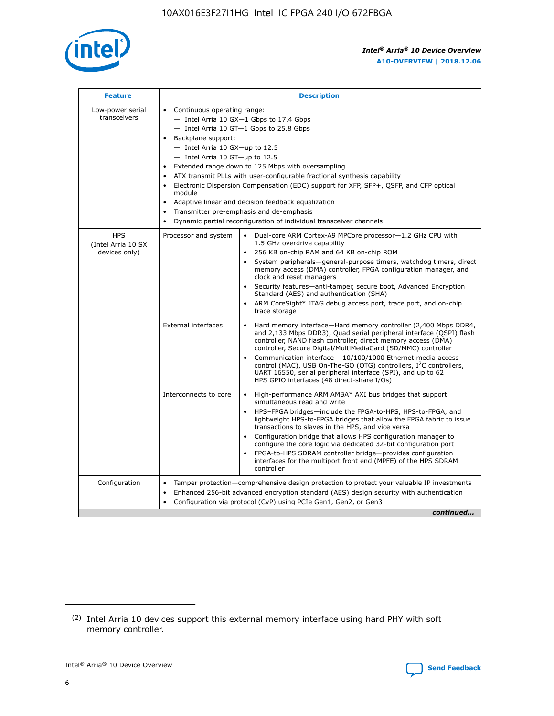

| <b>Feature</b>                                    | <b>Description</b>                                                                                                                                                                                                                                                                                                                                                                                                                                                                                                                                                                                                                                                 |
|---------------------------------------------------|--------------------------------------------------------------------------------------------------------------------------------------------------------------------------------------------------------------------------------------------------------------------------------------------------------------------------------------------------------------------------------------------------------------------------------------------------------------------------------------------------------------------------------------------------------------------------------------------------------------------------------------------------------------------|
| Low-power serial<br>transceivers                  | • Continuous operating range:<br>- Intel Arria 10 GX-1 Gbps to 17.4 Gbps<br>- Intel Arria 10 GT-1 Gbps to 25.8 Gbps<br>Backplane support:<br>$-$ Intel Arria 10 GX-up to 12.5<br>- Intel Arria 10 GT-up to 12.5<br>Extended range down to 125 Mbps with oversampling<br>ATX transmit PLLs with user-configurable fractional synthesis capability<br>$\bullet$<br>Electronic Dispersion Compensation (EDC) support for XFP, SFP+, OSFP, and CFP optical<br>module<br>Adaptive linear and decision feedback equalization<br>$\bullet$<br>Transmitter pre-emphasis and de-emphasis<br>$\bullet$<br>Dynamic partial reconfiguration of individual transceiver channels |
| <b>HPS</b><br>(Intel Arria 10 SX<br>devices only) | • Dual-core ARM Cortex-A9 MPCore processor-1.2 GHz CPU with<br>Processor and system<br>1.5 GHz overdrive capability<br>256 KB on-chip RAM and 64 KB on-chip ROM<br>$\bullet$<br>System peripherals—general-purpose timers, watchdog timers, direct<br>memory access (DMA) controller, FPGA configuration manager, and<br>clock and reset managers<br>Security features—anti-tamper, secure boot, Advanced Encryption<br>$\bullet$<br>Standard (AES) and authentication (SHA)<br>ARM CoreSight* JTAG debug access port, trace port, and on-chip<br>$\bullet$<br>trace storage                                                                                       |
|                                                   | <b>External interfaces</b><br>Hard memory interface-Hard memory controller (2,400 Mbps DDR4,<br>$\bullet$<br>and 2,133 Mbps DDR3), Quad serial peripheral interface (QSPI) flash<br>controller, NAND flash controller, direct memory access (DMA)<br>controller, Secure Digital/MultiMediaCard (SD/MMC) controller<br>Communication interface-10/100/1000 Ethernet media access<br>$\bullet$<br>control (MAC), USB On-The-GO (OTG) controllers, I <sup>2</sup> C controllers,<br>UART 16550, serial peripheral interface (SPI), and up to 62<br>HPS GPIO interfaces (48 direct-share I/Os)                                                                         |
|                                                   | Interconnects to core<br>High-performance ARM AMBA* AXI bus bridges that support<br>$\bullet$<br>simultaneous read and write<br>HPS-FPGA bridges-include the FPGA-to-HPS, HPS-to-FPGA, and<br>$\bullet$<br>lightweight HPS-to-FPGA bridges that allow the FPGA fabric to issue<br>transactions to slaves in the HPS, and vice versa<br>Configuration bridge that allows HPS configuration manager to<br>configure the core logic via dedicated 32-bit configuration port<br>FPGA-to-HPS SDRAM controller bridge-provides configuration<br>interfaces for the multiport front end (MPFE) of the HPS SDRAM<br>controller                                             |
| Configuration                                     | Tamper protection—comprehensive design protection to protect your valuable IP investments<br>Enhanced 256-bit advanced encryption standard (AES) design security with authentication<br>٠<br>Configuration via protocol (CvP) using PCIe Gen1, Gen2, or Gen3<br>continued                                                                                                                                                                                                                                                                                                                                                                                          |

<sup>(2)</sup> Intel Arria 10 devices support this external memory interface using hard PHY with soft memory controller.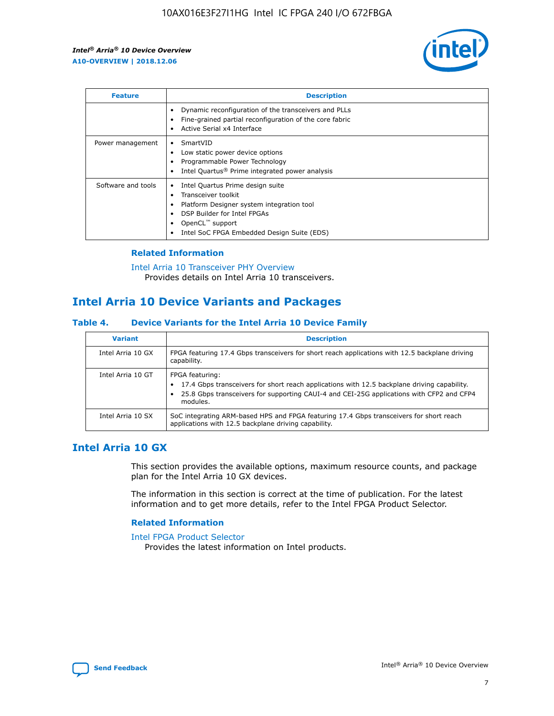

| <b>Feature</b>     | <b>Description</b>                                                                                                                                                                                                    |
|--------------------|-----------------------------------------------------------------------------------------------------------------------------------------------------------------------------------------------------------------------|
|                    | Dynamic reconfiguration of the transceivers and PLLs<br>Fine-grained partial reconfiguration of the core fabric<br>Active Serial x4 Interface<br>٠                                                                    |
| Power management   | SmartVID<br>Low static power device options<br>Programmable Power Technology<br>Intel Quartus <sup>®</sup> Prime integrated power analysis                                                                            |
| Software and tools | Intel Quartus Prime design suite<br>Transceiver toolkit<br>٠<br>Platform Designer system integration tool<br>DSP Builder for Intel FPGAs<br>OpenCL <sup>™</sup> support<br>Intel SoC FPGA Embedded Design Suite (EDS) |

## **Related Information**

[Intel Arria 10 Transceiver PHY Overview](https://www.intel.com/content/www/us/en/programmable/documentation/nik1398707230472.html#nik1398706768037) Provides details on Intel Arria 10 transceivers.

# **Intel Arria 10 Device Variants and Packages**

#### **Table 4. Device Variants for the Intel Arria 10 Device Family**

| <b>Variant</b>    | <b>Description</b>                                                                                                                                                                                                     |
|-------------------|------------------------------------------------------------------------------------------------------------------------------------------------------------------------------------------------------------------------|
| Intel Arria 10 GX | FPGA featuring 17.4 Gbps transceivers for short reach applications with 12.5 backplane driving<br>capability.                                                                                                          |
| Intel Arria 10 GT | FPGA featuring:<br>17.4 Gbps transceivers for short reach applications with 12.5 backplane driving capability.<br>25.8 Gbps transceivers for supporting CAUI-4 and CEI-25G applications with CFP2 and CFP4<br>modules. |
| Intel Arria 10 SX | SoC integrating ARM-based HPS and FPGA featuring 17.4 Gbps transceivers for short reach<br>applications with 12.5 backplane driving capability.                                                                        |

# **Intel Arria 10 GX**

This section provides the available options, maximum resource counts, and package plan for the Intel Arria 10 GX devices.

The information in this section is correct at the time of publication. For the latest information and to get more details, refer to the Intel FPGA Product Selector.

#### **Related Information**

#### [Intel FPGA Product Selector](http://www.altera.com/products/selector/psg-selector.html) Provides the latest information on Intel products.

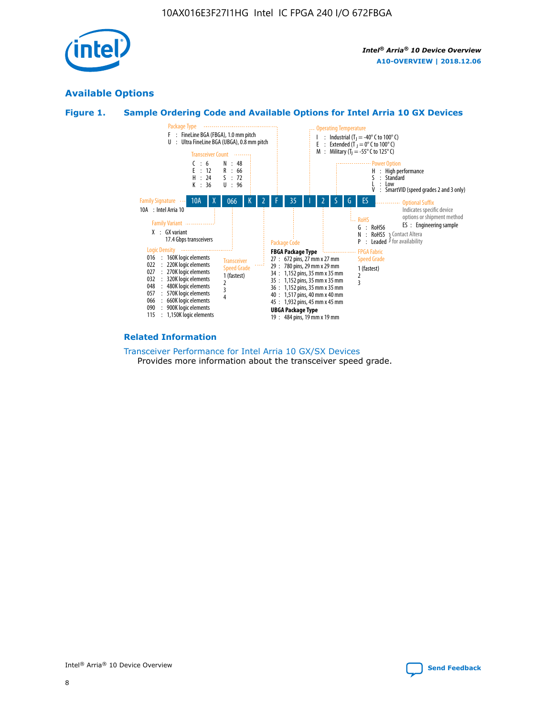

# **Available Options**





#### **Related Information**

[Transceiver Performance for Intel Arria 10 GX/SX Devices](https://www.intel.com/content/www/us/en/programmable/documentation/mcn1413182292568.html#mcn1413213965502) Provides more information about the transceiver speed grade.

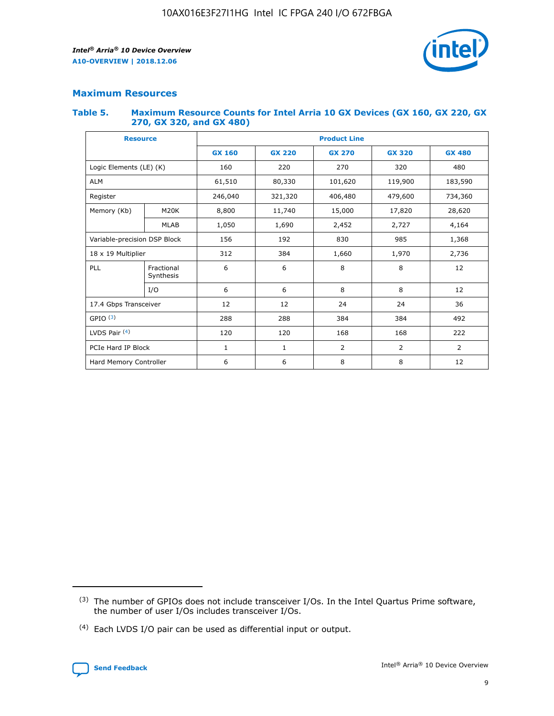

# **Maximum Resources**

#### **Table 5. Maximum Resource Counts for Intel Arria 10 GX Devices (GX 160, GX 220, GX 270, GX 320, and GX 480)**

| <b>Resource</b>         |                                            | <b>Product Line</b> |                  |                    |                |                |  |  |  |
|-------------------------|--------------------------------------------|---------------------|------------------|--------------------|----------------|----------------|--|--|--|
|                         |                                            | <b>GX 160</b>       | <b>GX 220</b>    | <b>GX 270</b>      | <b>GX 320</b>  | <b>GX 480</b>  |  |  |  |
| Logic Elements (LE) (K) |                                            | 160                 | 220              | 270                | 320            | 480            |  |  |  |
| <b>ALM</b>              |                                            | 61,510              | 80,330           | 101,620            | 119,900        | 183,590        |  |  |  |
| Register                |                                            | 246,040             | 321,320          | 406,480<br>479,600 |                | 734,360        |  |  |  |
| Memory (Kb)             | M <sub>20</sub> K                          | 8,800               | 11,740<br>15,000 |                    | 17,820         | 28,620         |  |  |  |
| <b>MLAB</b>             |                                            | 1,050               | 1,690            | 2,452              | 2,727          | 4,164          |  |  |  |
|                         | Variable-precision DSP Block<br>156<br>192 |                     |                  | 830                | 985<br>1,368   |                |  |  |  |
| 18 x 19 Multiplier      |                                            | 312                 | 384              | 1,970<br>1,660     |                | 2,736          |  |  |  |
| PLL                     | Fractional<br>Synthesis                    | 6                   | 6                | 8                  | 8              | 12             |  |  |  |
|                         | I/O                                        | 6                   | 6                | 8                  | 8              | 12             |  |  |  |
| 17.4 Gbps Transceiver   |                                            | 12                  | 12               | 24                 | 24             | 36             |  |  |  |
| GPIO <sup>(3)</sup>     |                                            | 288                 | 288              | 384<br>384         |                | 492            |  |  |  |
| LVDS Pair $(4)$         |                                            | 120                 | 120              | 168                | 168            | 222            |  |  |  |
| PCIe Hard IP Block      |                                            | 1                   | 1                | 2                  | $\overline{2}$ | $\overline{2}$ |  |  |  |
| Hard Memory Controller  |                                            | 6                   | 6                | 8                  | 8              | 12             |  |  |  |

<sup>(4)</sup> Each LVDS I/O pair can be used as differential input or output.



<sup>(3)</sup> The number of GPIOs does not include transceiver I/Os. In the Intel Quartus Prime software, the number of user I/Os includes transceiver I/Os.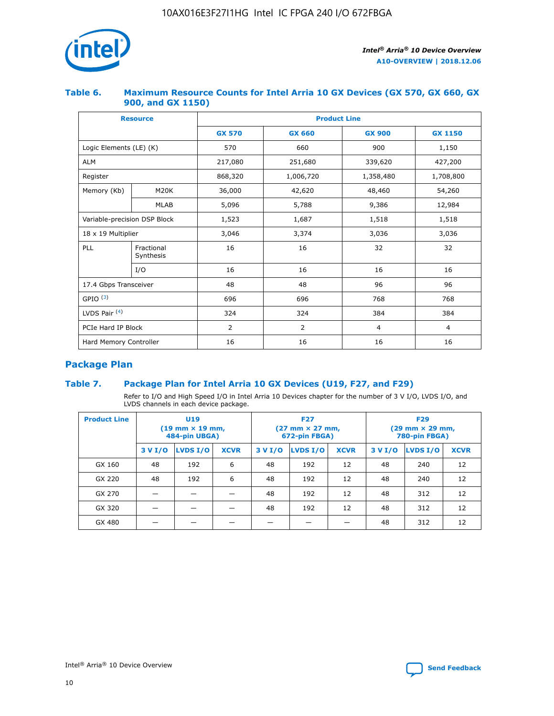

## **Table 6. Maximum Resource Counts for Intel Arria 10 GX Devices (GX 570, GX 660, GX 900, and GX 1150)**

|                              | <b>Resource</b>         | <b>Product Line</b> |                |                |                |  |  |  |
|------------------------------|-------------------------|---------------------|----------------|----------------|----------------|--|--|--|
|                              |                         | <b>GX 570</b>       | <b>GX 660</b>  | <b>GX 900</b>  | <b>GX 1150</b> |  |  |  |
| Logic Elements (LE) (K)      |                         | 570                 | 660            | 900            | 1,150          |  |  |  |
| <b>ALM</b>                   |                         | 217,080             | 251,680        | 339,620        | 427,200        |  |  |  |
| Register                     |                         | 868,320             | 1,006,720      | 1,358,480      | 1,708,800      |  |  |  |
| Memory (Kb)                  | <b>M20K</b>             | 36,000              | 42,620         | 48,460         | 54,260         |  |  |  |
|                              | <b>MLAB</b>             | 5,096               | 5,788          | 9,386          | 12,984         |  |  |  |
| Variable-precision DSP Block |                         | 1,523               | 1,687          | 1,518          | 1,518          |  |  |  |
| $18 \times 19$ Multiplier    |                         | 3,046               | 3,374<br>3,036 |                | 3,036          |  |  |  |
| PLL                          | Fractional<br>Synthesis | 16                  | 16             | 32             | 32             |  |  |  |
|                              | I/O                     | 16                  | 16             | 16             | 16             |  |  |  |
| 17.4 Gbps Transceiver        |                         | 48                  | 48             | 96             | 96             |  |  |  |
| GPIO <sup>(3)</sup>          |                         | 696                 | 696            | 768            | 768            |  |  |  |
| LVDS Pair $(4)$              |                         | 324                 | 324            | 384            | 384            |  |  |  |
| PCIe Hard IP Block           |                         | 2                   | $\overline{2}$ | $\overline{4}$ | $\overline{4}$ |  |  |  |
| Hard Memory Controller       |                         | 16                  | 16             | 16             | 16             |  |  |  |

# **Package Plan**

# **Table 7. Package Plan for Intel Arria 10 GX Devices (U19, F27, and F29)**

Refer to I/O and High Speed I/O in Intel Arria 10 Devices chapter for the number of 3 V I/O, LVDS I/O, and LVDS channels in each device package.

| <b>Product Line</b> | <b>U19</b><br>$(19 \text{ mm} \times 19 \text{ mm})$<br>484-pin UBGA) |          |             |         | <b>F27</b><br>(27 mm × 27 mm,<br>672-pin FBGA) |             | <b>F29</b><br>(29 mm × 29 mm,<br>780-pin FBGA) |          |             |  |
|---------------------|-----------------------------------------------------------------------|----------|-------------|---------|------------------------------------------------|-------------|------------------------------------------------|----------|-------------|--|
|                     | 3 V I/O                                                               | LVDS I/O | <b>XCVR</b> | 3 V I/O | LVDS I/O                                       | <b>XCVR</b> | 3 V I/O                                        | LVDS I/O | <b>XCVR</b> |  |
| GX 160              | 48                                                                    | 192      | 6           | 48      | 192                                            | 12          | 48                                             | 240      | 12          |  |
| GX 220              | 48                                                                    | 192      | 6           | 48      | 192                                            | 12          | 48                                             | 240      | 12          |  |
| GX 270              |                                                                       |          |             | 48      | 192                                            | 12          | 48                                             | 312      | 12          |  |
| GX 320              |                                                                       |          |             | 48      | 192                                            | 12          | 48                                             | 312      | 12          |  |
| GX 480              |                                                                       |          |             |         |                                                |             | 48                                             | 312      | 12          |  |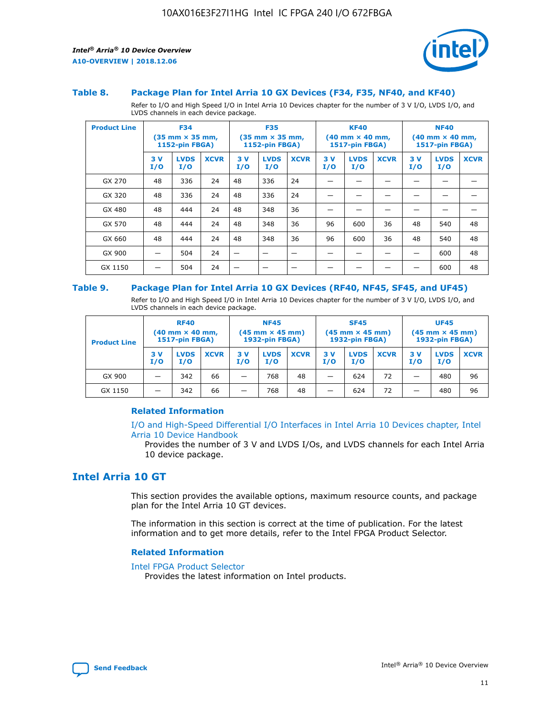

#### **Table 8. Package Plan for Intel Arria 10 GX Devices (F34, F35, NF40, and KF40)**

Refer to I/O and High Speed I/O in Intel Arria 10 Devices chapter for the number of 3 V I/O, LVDS I/O, and LVDS channels in each device package.

| <b>Product Line</b> |           | <b>F34</b><br>(35 mm × 35 mm,<br><b>1152-pin FBGA)</b> |             | <b>F35</b><br>$(35$ mm $\times$ 35 mm,<br>1152-pin FBGA) |                    | <b>KF40</b><br>$(40 \text{ mm} \times 40 \text{ mm})$<br>1517-pin FBGA) |           |                    | <b>NF40</b><br>$(40 \text{ mm} \times 40 \text{ mm})$<br><b>1517-pin FBGA)</b> |           |                    |             |
|---------------------|-----------|--------------------------------------------------------|-------------|----------------------------------------------------------|--------------------|-------------------------------------------------------------------------|-----------|--------------------|--------------------------------------------------------------------------------|-----------|--------------------|-------------|
|                     | 3V<br>I/O | <b>LVDS</b><br>I/O                                     | <b>XCVR</b> | 3V<br>I/O                                                | <b>LVDS</b><br>I/O | <b>XCVR</b>                                                             | 3V<br>I/O | <b>LVDS</b><br>I/O | <b>XCVR</b>                                                                    | 3V<br>I/O | <b>LVDS</b><br>I/O | <b>XCVR</b> |
| GX 270              | 48        | 336                                                    | 24          | 48                                                       | 336                | 24                                                                      |           |                    |                                                                                |           |                    |             |
| GX 320              | 48        | 336                                                    | 24          | 48                                                       | 336                | 24                                                                      |           |                    |                                                                                |           |                    |             |
| GX 480              | 48        | 444                                                    | 24          | 48                                                       | 348                | 36                                                                      |           |                    |                                                                                |           |                    |             |
| GX 570              | 48        | 444                                                    | 24          | 48                                                       | 348                | 36                                                                      | 96        | 600                | 36                                                                             | 48        | 540                | 48          |
| GX 660              | 48        | 444                                                    | 24          | 48                                                       | 348                | 36                                                                      | 96        | 600                | 36                                                                             | 48        | 540                | 48          |
| GX 900              |           | 504                                                    | 24          | -                                                        |                    | -                                                                       |           |                    |                                                                                |           | 600                | 48          |
| GX 1150             |           | 504                                                    | 24          |                                                          |                    |                                                                         |           |                    |                                                                                |           | 600                | 48          |

#### **Table 9. Package Plan for Intel Arria 10 GX Devices (RF40, NF45, SF45, and UF45)**

Refer to I/O and High Speed I/O in Intel Arria 10 Devices chapter for the number of 3 V I/O, LVDS I/O, and LVDS channels in each device package.

| <b>Product Line</b> | <b>RF40</b><br>$(40$ mm $\times$ 40 mm,<br>1517-pin FBGA) |                    | <b>NF45</b><br>$(45 \text{ mm} \times 45 \text{ mm})$<br><b>1932-pin FBGA)</b> |            |                    | <b>SF45</b><br>$(45 \text{ mm} \times 45 \text{ mm})$<br><b>1932-pin FBGA)</b> |            |                    | <b>UF45</b><br>$(45 \text{ mm} \times 45 \text{ mm})$<br><b>1932-pin FBGA)</b> |           |                    |             |
|---------------------|-----------------------------------------------------------|--------------------|--------------------------------------------------------------------------------|------------|--------------------|--------------------------------------------------------------------------------|------------|--------------------|--------------------------------------------------------------------------------|-----------|--------------------|-------------|
|                     | 3V<br>I/O                                                 | <b>LVDS</b><br>I/O | <b>XCVR</b>                                                                    | 3 V<br>I/O | <b>LVDS</b><br>I/O | <b>XCVR</b>                                                                    | 3 V<br>I/O | <b>LVDS</b><br>I/O | <b>XCVR</b>                                                                    | 3V<br>I/O | <b>LVDS</b><br>I/O | <b>XCVR</b> |
| GX 900              |                                                           | 342                | 66                                                                             | _          | 768                | 48                                                                             |            | 624                | 72                                                                             |           | 480                | 96          |
| GX 1150             |                                                           | 342                | 66                                                                             | _          | 768                | 48                                                                             |            | 624                | 72                                                                             |           | 480                | 96          |

#### **Related Information**

[I/O and High-Speed Differential I/O Interfaces in Intel Arria 10 Devices chapter, Intel](https://www.intel.com/content/www/us/en/programmable/documentation/sam1403482614086.html#sam1403482030321) [Arria 10 Device Handbook](https://www.intel.com/content/www/us/en/programmable/documentation/sam1403482614086.html#sam1403482030321)

Provides the number of 3 V and LVDS I/Os, and LVDS channels for each Intel Arria 10 device package.

# **Intel Arria 10 GT**

This section provides the available options, maximum resource counts, and package plan for the Intel Arria 10 GT devices.

The information in this section is correct at the time of publication. For the latest information and to get more details, refer to the Intel FPGA Product Selector.

#### **Related Information**

#### [Intel FPGA Product Selector](http://www.altera.com/products/selector/psg-selector.html)

Provides the latest information on Intel products.

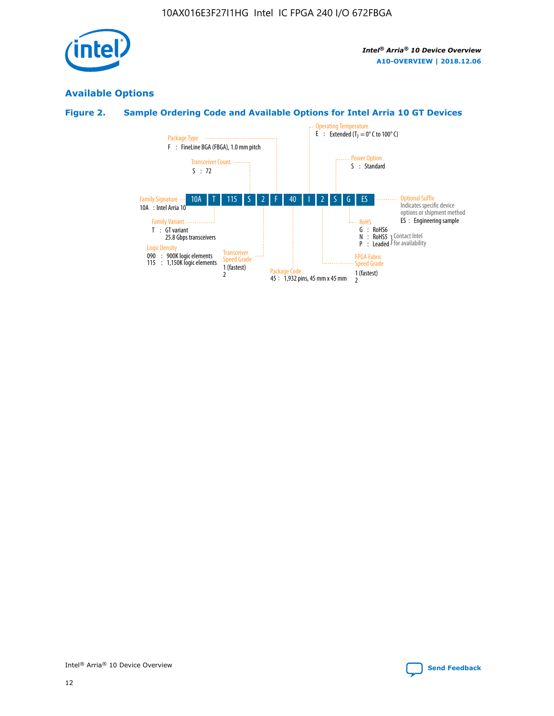

# **Available Options**

# **Figure 2. Sample Ordering Code and Available Options for Intel Arria 10 GT Devices**

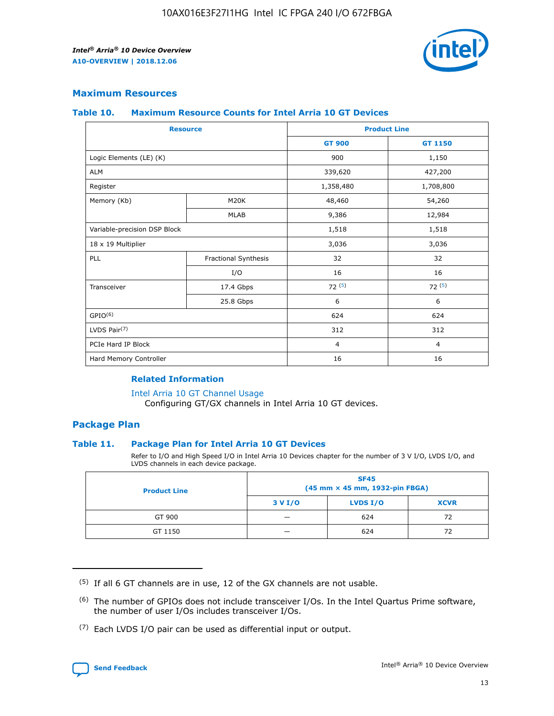

## **Maximum Resources**

#### **Table 10. Maximum Resource Counts for Intel Arria 10 GT Devices**

| <b>Resource</b>              |                      | <b>Product Line</b> |                |  |
|------------------------------|----------------------|---------------------|----------------|--|
|                              |                      | <b>GT 900</b>       | GT 1150        |  |
| Logic Elements (LE) (K)      |                      | 900                 | 1,150          |  |
| <b>ALM</b>                   |                      | 339,620             | 427,200        |  |
| Register                     |                      | 1,358,480           | 1,708,800      |  |
| Memory (Kb)                  | M <sub>20</sub> K    | 48,460              | 54,260         |  |
|                              | <b>MLAB</b>          | 9,386               | 12,984         |  |
| Variable-precision DSP Block |                      | 1,518               | 1,518          |  |
| 18 x 19 Multiplier           |                      | 3,036               | 3,036          |  |
| <b>PLL</b>                   | Fractional Synthesis | 32                  | 32             |  |
|                              | I/O                  | 16                  | 16             |  |
| Transceiver                  | 17.4 Gbps            | 72(5)               | 72(5)          |  |
|                              | 25.8 Gbps            | 6                   | 6              |  |
| GPIO <sup>(6)</sup>          |                      | 624                 | 624            |  |
| LVDS Pair $(7)$              |                      | 312                 | 312            |  |
| PCIe Hard IP Block           |                      | $\overline{4}$      | $\overline{4}$ |  |
| Hard Memory Controller       |                      | 16                  | 16             |  |

#### **Related Information**

#### [Intel Arria 10 GT Channel Usage](https://www.intel.com/content/www/us/en/programmable/documentation/nik1398707230472.html#nik1398707008178)

Configuring GT/GX channels in Intel Arria 10 GT devices.

## **Package Plan**

#### **Table 11. Package Plan for Intel Arria 10 GT Devices**

Refer to I/O and High Speed I/O in Intel Arria 10 Devices chapter for the number of 3 V I/O, LVDS I/O, and LVDS channels in each device package.

| <b>Product Line</b> | <b>SF45</b><br>(45 mm × 45 mm, 1932-pin FBGA) |                 |             |  |  |  |
|---------------------|-----------------------------------------------|-----------------|-------------|--|--|--|
|                     | 3 V I/O                                       | <b>LVDS I/O</b> | <b>XCVR</b> |  |  |  |
| GT 900              |                                               | 624             | 72          |  |  |  |
| GT 1150             |                                               | 624             | 72          |  |  |  |

<sup>(7)</sup> Each LVDS I/O pair can be used as differential input or output.



 $(5)$  If all 6 GT channels are in use, 12 of the GX channels are not usable.

<sup>(6)</sup> The number of GPIOs does not include transceiver I/Os. In the Intel Quartus Prime software, the number of user I/Os includes transceiver I/Os.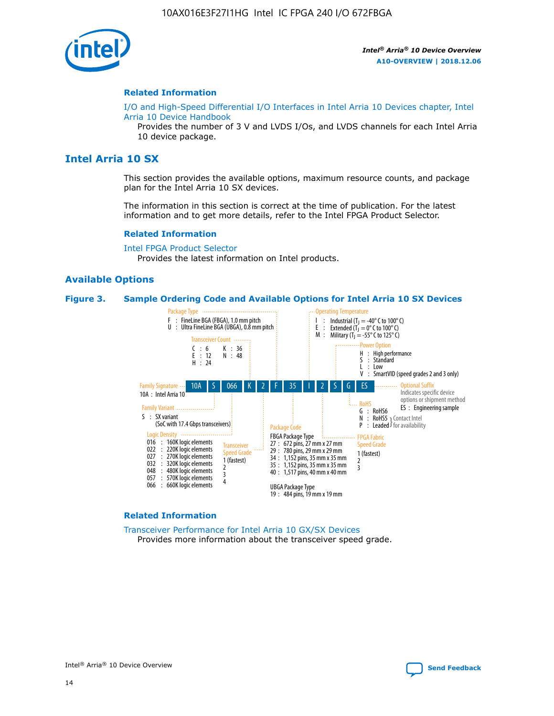

#### **Related Information**

[I/O and High-Speed Differential I/O Interfaces in Intel Arria 10 Devices chapter, Intel](https://www.intel.com/content/www/us/en/programmable/documentation/sam1403482614086.html#sam1403482030321) [Arria 10 Device Handbook](https://www.intel.com/content/www/us/en/programmable/documentation/sam1403482614086.html#sam1403482030321)

Provides the number of 3 V and LVDS I/Os, and LVDS channels for each Intel Arria 10 device package.

# **Intel Arria 10 SX**

This section provides the available options, maximum resource counts, and package plan for the Intel Arria 10 SX devices.

The information in this section is correct at the time of publication. For the latest information and to get more details, refer to the Intel FPGA Product Selector.

#### **Related Information**

[Intel FPGA Product Selector](http://www.altera.com/products/selector/psg-selector.html) Provides the latest information on Intel products.

#### **Available Options**

#### **Figure 3. Sample Ordering Code and Available Options for Intel Arria 10 SX Devices**



#### **Related Information**

[Transceiver Performance for Intel Arria 10 GX/SX Devices](https://www.intel.com/content/www/us/en/programmable/documentation/mcn1413182292568.html#mcn1413213965502) Provides more information about the transceiver speed grade.



Intel® Arria® 10 Device Overview **[Send Feedback](mailto:FPGAtechdocfeedback@intel.com?subject=Feedback%20on%20Intel%20Arria%2010%20Device%20Overview%20(A10-OVERVIEW%202018.12.06)&body=We%20appreciate%20your%20feedback.%20In%20your%20comments,%20also%20specify%20the%20page%20number%20or%20paragraph.%20Thank%20you.)**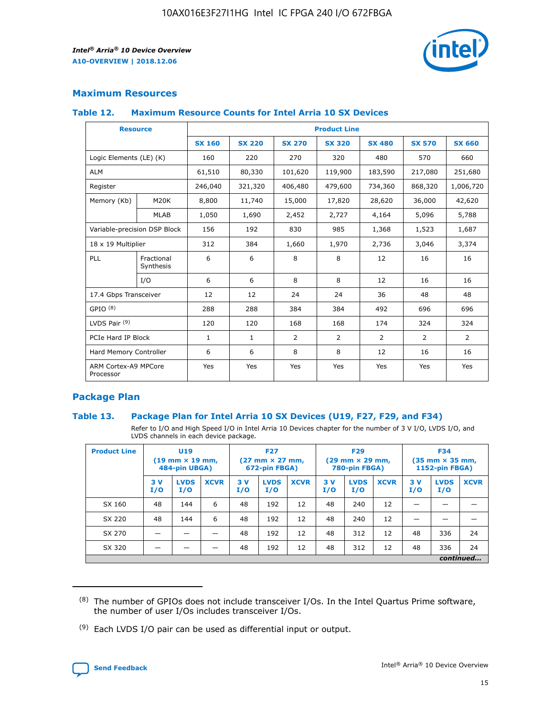

# **Maximum Resources**

#### **Table 12. Maximum Resource Counts for Intel Arria 10 SX Devices**

| <b>Resource</b>                   |                         | <b>Product Line</b> |               |                |                |               |                |               |  |  |  |
|-----------------------------------|-------------------------|---------------------|---------------|----------------|----------------|---------------|----------------|---------------|--|--|--|
|                                   |                         | <b>SX 160</b>       | <b>SX 220</b> | <b>SX 270</b>  | <b>SX 320</b>  | <b>SX 480</b> | <b>SX 570</b>  | <b>SX 660</b> |  |  |  |
| Logic Elements (LE) (K)           |                         | 160                 | 220           | 270            | 320            | 480           | 570            | 660           |  |  |  |
| <b>ALM</b>                        |                         | 61,510              | 80,330        | 101,620        | 119,900        | 183,590       | 217,080        | 251,680       |  |  |  |
| Register                          |                         | 246,040             | 321,320       | 406,480        | 479,600        | 734,360       | 868,320        | 1,006,720     |  |  |  |
| Memory (Kb)                       | <b>M20K</b>             | 8,800               | 11,740        | 15,000         | 17,820         | 28,620        | 36,000         | 42,620        |  |  |  |
|                                   | <b>MLAB</b>             | 1,050               | 1,690         | 2,452          | 2,727          | 4,164         | 5,096          | 5,788         |  |  |  |
| Variable-precision DSP Block      |                         | 156                 | 192           | 830            | 985            | 1,368         | 1,523          | 1,687         |  |  |  |
| 18 x 19 Multiplier                |                         | 312                 | 384           | 1,660          | 1,970          | 2,736         | 3,046          | 3,374         |  |  |  |
| PLL                               | Fractional<br>Synthesis | 6                   | 6             | 8              | 8              | 12            | 16             | 16            |  |  |  |
|                                   | I/O                     | 6                   | 6             | 8              | 8              | 12            | 16             | 16            |  |  |  |
| 17.4 Gbps Transceiver             |                         | 12                  | 12            | 24             | 24             | 36            | 48             | 48            |  |  |  |
| GPIO <sup>(8)</sup>               |                         | 288                 | 288           | 384            | 384            | 492           | 696            | 696           |  |  |  |
| LVDS Pair $(9)$                   |                         | 120                 | 120           | 168            | 168            | 174           | 324            | 324           |  |  |  |
| PCIe Hard IP Block                |                         | $\mathbf{1}$        | 1             | $\overline{2}$ | $\overline{2}$ | 2             | $\overline{2}$ | 2             |  |  |  |
| Hard Memory Controller            |                         | 6                   | 6             | 8              | 8              | 12            | 16             | 16            |  |  |  |
| ARM Cortex-A9 MPCore<br>Processor |                         | Yes                 | Yes           | Yes            | Yes            | Yes           | Yes            | Yes           |  |  |  |

# **Package Plan**

#### **Table 13. Package Plan for Intel Arria 10 SX Devices (U19, F27, F29, and F34)**

Refer to I/O and High Speed I/O in Intel Arria 10 Devices chapter for the number of 3 V I/O, LVDS I/O, and LVDS channels in each device package.

| <b>Product Line</b> | U19<br>$(19 \text{ mm} \times 19 \text{ mm})$<br>484-pin UBGA) |                    |             | <b>F27</b><br>$(27 \text{ mm} \times 27 \text{ mm})$<br>672-pin FBGA) |                    | <b>F29</b><br>$(29 \text{ mm} \times 29 \text{ mm})$<br>780-pin FBGA) |           |                    | <b>F34</b><br>$(35 \text{ mm} \times 35 \text{ mm})$<br><b>1152-pin FBGA)</b> |           |                    |             |
|---------------------|----------------------------------------------------------------|--------------------|-------------|-----------------------------------------------------------------------|--------------------|-----------------------------------------------------------------------|-----------|--------------------|-------------------------------------------------------------------------------|-----------|--------------------|-------------|
|                     | 3V<br>I/O                                                      | <b>LVDS</b><br>I/O | <b>XCVR</b> | 3V<br>I/O                                                             | <b>LVDS</b><br>I/O | <b>XCVR</b>                                                           | 3V<br>I/O | <b>LVDS</b><br>I/O | <b>XCVR</b>                                                                   | 3V<br>I/O | <b>LVDS</b><br>I/O | <b>XCVR</b> |
| SX 160              | 48                                                             | 144                | 6           | 48                                                                    | 192                | 12                                                                    | 48        | 240                | 12                                                                            |           |                    |             |
| SX 220              | 48                                                             | 144                | 6           | 48                                                                    | 192                | 12                                                                    | 48        | 240                | 12                                                                            |           |                    |             |
| SX 270              |                                                                |                    |             | 48                                                                    | 192                | 12                                                                    | 48        | 312                | 12                                                                            | 48        | 336                | 24          |
| SX 320              |                                                                |                    |             | 48                                                                    | 192                | 12                                                                    | 48        | 312                | 12                                                                            | 48        | 336                | 24          |
|                     | continued                                                      |                    |             |                                                                       |                    |                                                                       |           |                    |                                                                               |           |                    |             |

 $(8)$  The number of GPIOs does not include transceiver I/Os. In the Intel Quartus Prime software, the number of user I/Os includes transceiver I/Os.

 $(9)$  Each LVDS I/O pair can be used as differential input or output.

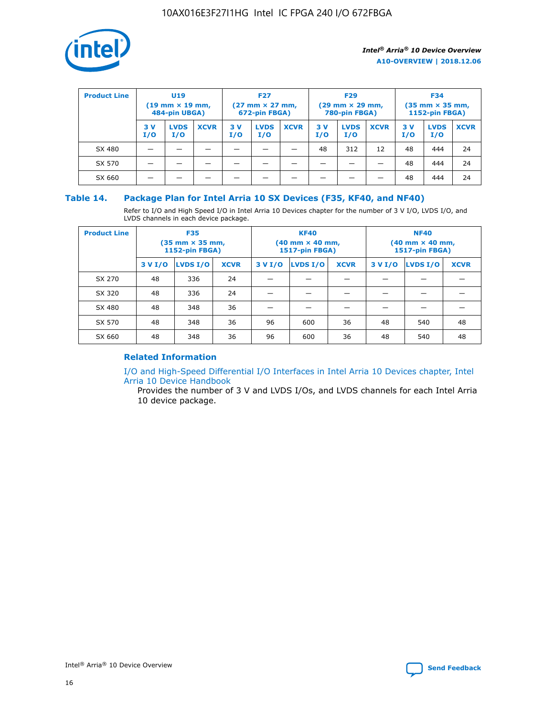

| <b>Product Line</b> | U <sub>19</sub><br>$(19 \text{ mm} \times 19 \text{ mm})$<br>484-pin UBGA) |                    | <b>F27</b><br>$(27 \text{ mm} \times 27 \text{ mm})$<br>672-pin FBGA) |           |                    | <b>F29</b><br>$(29 \text{ mm} \times 29 \text{ mm})$<br>780-pin FBGA) |           |                    | <b>F34</b><br>$(35$ mm $\times$ 35 mm,<br><b>1152-pin FBGA)</b> |           |                    |             |
|---------------------|----------------------------------------------------------------------------|--------------------|-----------------------------------------------------------------------|-----------|--------------------|-----------------------------------------------------------------------|-----------|--------------------|-----------------------------------------------------------------|-----------|--------------------|-------------|
|                     | 3 V<br>I/O                                                                 | <b>LVDS</b><br>I/O | <b>XCVR</b>                                                           | 3V<br>I/O | <b>LVDS</b><br>I/O | <b>XCVR</b>                                                           | 3V<br>I/O | <b>LVDS</b><br>I/O | <b>XCVR</b>                                                     | 3V<br>I/O | <b>LVDS</b><br>I/O | <b>XCVR</b> |
| SX 480              |                                                                            |                    |                                                                       |           |                    |                                                                       | 48        | 312                | 12                                                              | 48        | 444                | 24          |
| SX 570              |                                                                            |                    |                                                                       |           |                    |                                                                       |           |                    |                                                                 | 48        | 444                | 24          |
| SX 660              |                                                                            |                    |                                                                       |           |                    |                                                                       |           |                    |                                                                 | 48        | 444                | 24          |

## **Table 14. Package Plan for Intel Arria 10 SX Devices (F35, KF40, and NF40)**

Refer to I/O and High Speed I/O in Intel Arria 10 Devices chapter for the number of 3 V I/O, LVDS I/O, and LVDS channels in each device package.

| <b>Product Line</b> | <b>F35</b><br>(35 mm × 35 mm,<br><b>1152-pin FBGA)</b> |          |             |                                           | <b>KF40</b><br>(40 mm × 40 mm,<br>1517-pin FBGA) |    | <b>NF40</b><br>$(40 \text{ mm} \times 40 \text{ mm})$<br>1517-pin FBGA) |          |             |  |
|---------------------|--------------------------------------------------------|----------|-------------|-------------------------------------------|--------------------------------------------------|----|-------------------------------------------------------------------------|----------|-------------|--|
|                     | 3 V I/O                                                | LVDS I/O | <b>XCVR</b> | <b>LVDS I/O</b><br>3 V I/O<br><b>XCVR</b> |                                                  |    | 3 V I/O                                                                 | LVDS I/O | <b>XCVR</b> |  |
| SX 270              | 48                                                     | 336      | 24          |                                           |                                                  |    |                                                                         |          |             |  |
| SX 320              | 48                                                     | 336      | 24          |                                           |                                                  |    |                                                                         |          |             |  |
| SX 480              | 48                                                     | 348      | 36          |                                           |                                                  |    |                                                                         |          |             |  |
| SX 570              | 48                                                     | 348      | 36          | 96                                        | 600                                              | 36 | 48                                                                      | 540      | 48          |  |
| SX 660              | 48                                                     | 348      | 36          | 96                                        | 600                                              | 36 | 48                                                                      | 540      | 48          |  |

# **Related Information**

[I/O and High-Speed Differential I/O Interfaces in Intel Arria 10 Devices chapter, Intel](https://www.intel.com/content/www/us/en/programmable/documentation/sam1403482614086.html#sam1403482030321) [Arria 10 Device Handbook](https://www.intel.com/content/www/us/en/programmable/documentation/sam1403482614086.html#sam1403482030321)

Provides the number of 3 V and LVDS I/Os, and LVDS channels for each Intel Arria 10 device package.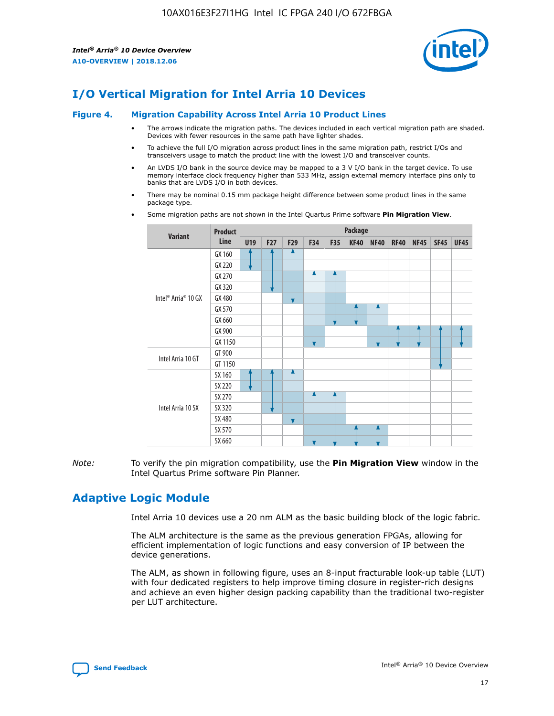

# **I/O Vertical Migration for Intel Arria 10 Devices**

#### **Figure 4. Migration Capability Across Intel Arria 10 Product Lines**

- The arrows indicate the migration paths. The devices included in each vertical migration path are shaded. Devices with fewer resources in the same path have lighter shades.
- To achieve the full I/O migration across product lines in the same migration path, restrict I/Os and transceivers usage to match the product line with the lowest I/O and transceiver counts.
- An LVDS I/O bank in the source device may be mapped to a 3 V I/O bank in the target device. To use memory interface clock frequency higher than 533 MHz, assign external memory interface pins only to banks that are LVDS I/O in both devices.
- There may be nominal 0.15 mm package height difference between some product lines in the same package type.
	- **Variant Product Line Package U19 F27 F29 F34 F35 KF40 NF40 RF40 NF45 SF45 UF45** Intel® Arria® 10 GX GX 160 GX 220 GX 270 GX 320 GX 480 GX 570 GX 660 GX 900 GX 1150 Intel Arria 10 GT GT 900 GT 1150 Intel Arria 10 SX SX 160 SX 220 SX 270 SX 320 SX 480 SX 570 SX 660
- Some migration paths are not shown in the Intel Quartus Prime software **Pin Migration View**.

*Note:* To verify the pin migration compatibility, use the **Pin Migration View** window in the Intel Quartus Prime software Pin Planner.

# **Adaptive Logic Module**

Intel Arria 10 devices use a 20 nm ALM as the basic building block of the logic fabric.

The ALM architecture is the same as the previous generation FPGAs, allowing for efficient implementation of logic functions and easy conversion of IP between the device generations.

The ALM, as shown in following figure, uses an 8-input fracturable look-up table (LUT) with four dedicated registers to help improve timing closure in register-rich designs and achieve an even higher design packing capability than the traditional two-register per LUT architecture.

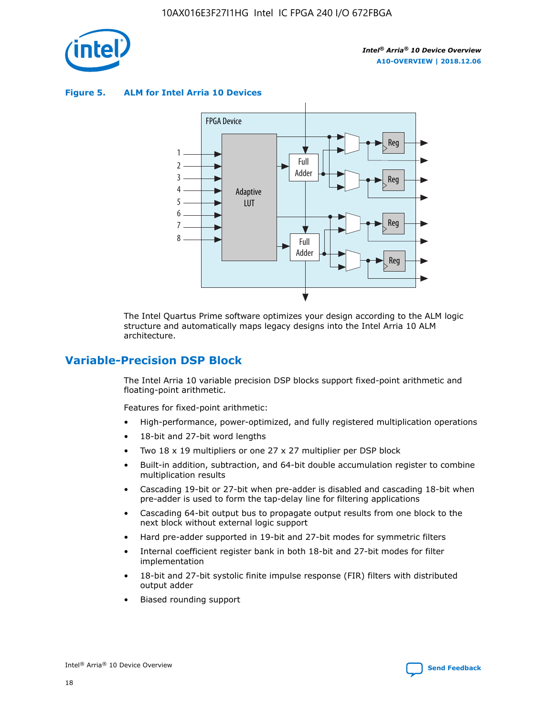

**Figure 5. ALM for Intel Arria 10 Devices**



The Intel Quartus Prime software optimizes your design according to the ALM logic structure and automatically maps legacy designs into the Intel Arria 10 ALM architecture.

# **Variable-Precision DSP Block**

The Intel Arria 10 variable precision DSP blocks support fixed-point arithmetic and floating-point arithmetic.

Features for fixed-point arithmetic:

- High-performance, power-optimized, and fully registered multiplication operations
- 18-bit and 27-bit word lengths
- Two 18 x 19 multipliers or one 27 x 27 multiplier per DSP block
- Built-in addition, subtraction, and 64-bit double accumulation register to combine multiplication results
- Cascading 19-bit or 27-bit when pre-adder is disabled and cascading 18-bit when pre-adder is used to form the tap-delay line for filtering applications
- Cascading 64-bit output bus to propagate output results from one block to the next block without external logic support
- Hard pre-adder supported in 19-bit and 27-bit modes for symmetric filters
- Internal coefficient register bank in both 18-bit and 27-bit modes for filter implementation
- 18-bit and 27-bit systolic finite impulse response (FIR) filters with distributed output adder
- Biased rounding support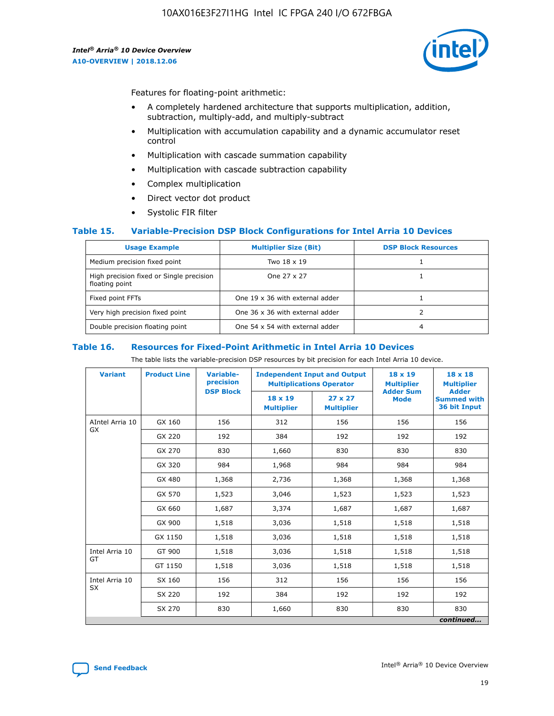

Features for floating-point arithmetic:

- A completely hardened architecture that supports multiplication, addition, subtraction, multiply-add, and multiply-subtract
- Multiplication with accumulation capability and a dynamic accumulator reset control
- Multiplication with cascade summation capability
- Multiplication with cascade subtraction capability
- Complex multiplication
- Direct vector dot product
- Systolic FIR filter

#### **Table 15. Variable-Precision DSP Block Configurations for Intel Arria 10 Devices**

| <b>Usage Example</b>                                       | <b>Multiplier Size (Bit)</b>    | <b>DSP Block Resources</b> |
|------------------------------------------------------------|---------------------------------|----------------------------|
| Medium precision fixed point                               | Two 18 x 19                     |                            |
| High precision fixed or Single precision<br>floating point | One 27 x 27                     |                            |
| Fixed point FFTs                                           | One 19 x 36 with external adder |                            |
| Very high precision fixed point                            | One 36 x 36 with external adder |                            |
| Double precision floating point                            | One 54 x 54 with external adder | 4                          |

#### **Table 16. Resources for Fixed-Point Arithmetic in Intel Arria 10 Devices**

The table lists the variable-precision DSP resources by bit precision for each Intel Arria 10 device.

| <b>Variant</b>  | <b>Product Line</b> | <b>Variable-</b><br>precision<br><b>DSP Block</b> | <b>Independent Input and Output</b><br><b>Multiplications Operator</b> |                                     | 18 x 19<br><b>Multiplier</b><br><b>Adder Sum</b> | $18 \times 18$<br><b>Multiplier</b><br><b>Adder</b> |
|-----------------|---------------------|---------------------------------------------------|------------------------------------------------------------------------|-------------------------------------|--------------------------------------------------|-----------------------------------------------------|
|                 |                     |                                                   | 18 x 19<br><b>Multiplier</b>                                           | $27 \times 27$<br><b>Multiplier</b> | <b>Mode</b>                                      | <b>Summed with</b><br>36 bit Input                  |
| AIntel Arria 10 | GX 160              | 156                                               | 312                                                                    | 156                                 | 156                                              | 156                                                 |
| GX              | GX 220              | 192                                               | 384                                                                    | 192                                 | 192                                              | 192                                                 |
|                 | GX 270              | 830                                               | 1,660                                                                  | 830                                 | 830                                              | 830                                                 |
|                 | GX 320              | 984                                               | 1,968                                                                  | 984                                 | 984                                              | 984                                                 |
|                 | GX 480              | 1,368                                             | 2,736                                                                  | 1,368                               | 1,368                                            | 1,368                                               |
|                 | GX 570              | 1,523                                             | 3,046                                                                  | 1,523                               | 1,523                                            | 1,523                                               |
|                 | GX 660              | 1,687                                             | 3,374                                                                  | 1,687                               | 1,687                                            | 1,687                                               |
|                 | GX 900              | 1,518                                             | 3,036                                                                  | 1,518                               | 1,518                                            | 1,518                                               |
|                 | GX 1150             | 1,518                                             | 3,036                                                                  | 1,518                               | 1,518                                            | 1,518                                               |
| Intel Arria 10  | GT 900              | 1,518                                             | 3,036                                                                  | 1,518                               | 1,518                                            | 1,518                                               |
| GT              | GT 1150             | 1,518                                             | 3,036                                                                  | 1,518                               | 1,518                                            | 1,518                                               |
| Intel Arria 10  | SX 160              | 156                                               | 312                                                                    | 156                                 | 156                                              | 156                                                 |
| <b>SX</b>       | SX 220              | 192                                               | 384                                                                    | 192                                 | 192                                              | 192                                                 |
|                 | SX 270              | 830                                               | 1,660                                                                  | 830                                 | 830                                              | 830                                                 |
|                 |                     |                                                   |                                                                        |                                     |                                                  | continued                                           |

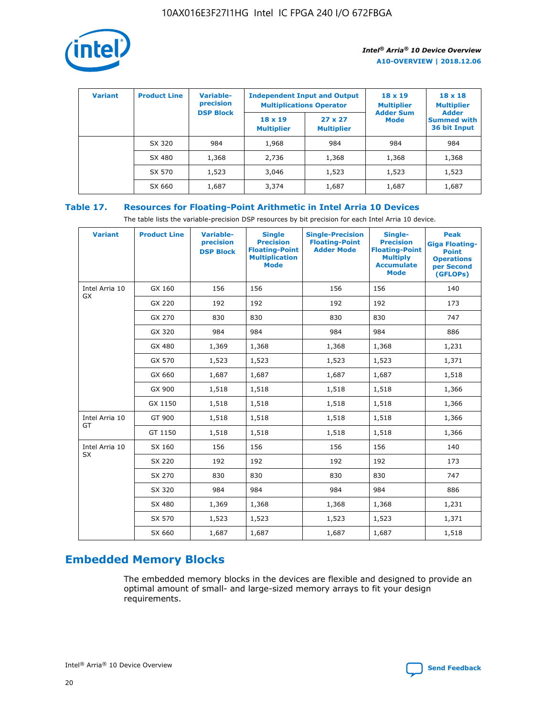

| <b>Variant</b> | <b>Product Line</b> | Variable-<br>precision | <b>Independent Input and Output</b><br><b>Multiplications Operator</b> |                                     | $18 \times 19$<br><b>Multiplier</b> | $18 \times 18$<br><b>Multiplier</b><br><b>Adder</b> |  |
|----------------|---------------------|------------------------|------------------------------------------------------------------------|-------------------------------------|-------------------------------------|-----------------------------------------------------|--|
|                |                     | <b>DSP Block</b>       | $18 \times 19$<br><b>Multiplier</b>                                    | $27 \times 27$<br><b>Multiplier</b> | <b>Adder Sum</b><br><b>Mode</b>     | <b>Summed with</b><br>36 bit Input                  |  |
|                | SX 320              | 984                    | 1,968                                                                  | 984                                 | 984                                 | 984                                                 |  |
|                | SX 480              | 1,368                  | 2,736                                                                  | 1,368                               | 1,368                               | 1,368                                               |  |
|                | SX 570              | 1,523                  | 3,046                                                                  | 1,523                               | 1,523                               | 1,523                                               |  |
|                | SX 660              | 1,687                  | 3,374                                                                  | 1,687                               | 1,687                               | 1,687                                               |  |

# **Table 17. Resources for Floating-Point Arithmetic in Intel Arria 10 Devices**

The table lists the variable-precision DSP resources by bit precision for each Intel Arria 10 device.

| <b>Variant</b> | <b>Product Line</b> | <b>Variable-</b><br>precision<br><b>DSP Block</b> | <b>Single</b><br><b>Precision</b><br><b>Floating-Point</b><br><b>Multiplication</b><br><b>Mode</b> | <b>Single-Precision</b><br><b>Floating-Point</b><br><b>Adder Mode</b> | Single-<br><b>Precision</b><br><b>Floating-Point</b><br><b>Multiply</b><br><b>Accumulate</b><br><b>Mode</b> | <b>Peak</b><br><b>Giga Floating-</b><br><b>Point</b><br><b>Operations</b><br>per Second<br>(GFLOPs) |
|----------------|---------------------|---------------------------------------------------|----------------------------------------------------------------------------------------------------|-----------------------------------------------------------------------|-------------------------------------------------------------------------------------------------------------|-----------------------------------------------------------------------------------------------------|
| Intel Arria 10 | GX 160              | 156                                               | 156                                                                                                | 156                                                                   | 156                                                                                                         | 140                                                                                                 |
| <b>GX</b>      | GX 220              | 192                                               | 192                                                                                                | 192                                                                   | 192                                                                                                         | 173                                                                                                 |
|                | GX 270              | 830                                               | 830                                                                                                | 830                                                                   | 830                                                                                                         | 747                                                                                                 |
|                | GX 320              | 984                                               | 984                                                                                                | 984                                                                   | 984                                                                                                         | 886                                                                                                 |
|                | GX 480              | 1,369                                             | 1,368                                                                                              | 1,368                                                                 | 1,368                                                                                                       | 1,231                                                                                               |
|                | GX 570              | 1,523                                             | 1,523                                                                                              | 1,523                                                                 | 1,523                                                                                                       | 1,371                                                                                               |
|                | GX 660              | 1,687                                             | 1,687                                                                                              | 1,687                                                                 | 1,687                                                                                                       | 1,518                                                                                               |
|                | GX 900              | 1,518                                             | 1,518                                                                                              | 1,518                                                                 | 1,518                                                                                                       | 1,366                                                                                               |
|                | GX 1150             | 1,518                                             | 1,518                                                                                              | 1,518                                                                 | 1,518                                                                                                       | 1,366                                                                                               |
| Intel Arria 10 | GT 900              | 1,518                                             | 1,518                                                                                              | 1,518                                                                 | 1,518                                                                                                       | 1,366                                                                                               |
| GT             | GT 1150             | 1,518                                             | 1,518                                                                                              | 1,518                                                                 | 1,518                                                                                                       | 1,366                                                                                               |
| Intel Arria 10 | SX 160              | 156                                               | 156                                                                                                | 156                                                                   | 156                                                                                                         | 140                                                                                                 |
| SX             | SX 220              | 192                                               | 192                                                                                                | 192                                                                   | 192                                                                                                         | 173                                                                                                 |
|                | SX 270              | 830                                               | 830                                                                                                | 830                                                                   | 830                                                                                                         | 747                                                                                                 |
|                | SX 320              | 984                                               | 984                                                                                                | 984                                                                   | 984                                                                                                         | 886                                                                                                 |
|                | SX 480              | 1,369                                             | 1,368                                                                                              | 1,368                                                                 | 1,368                                                                                                       | 1,231                                                                                               |
|                | SX 570              | 1,523                                             | 1,523                                                                                              | 1,523                                                                 | 1,523                                                                                                       | 1,371                                                                                               |
|                | SX 660              | 1,687                                             | 1,687                                                                                              | 1,687                                                                 | 1,687                                                                                                       | 1,518                                                                                               |

# **Embedded Memory Blocks**

The embedded memory blocks in the devices are flexible and designed to provide an optimal amount of small- and large-sized memory arrays to fit your design requirements.

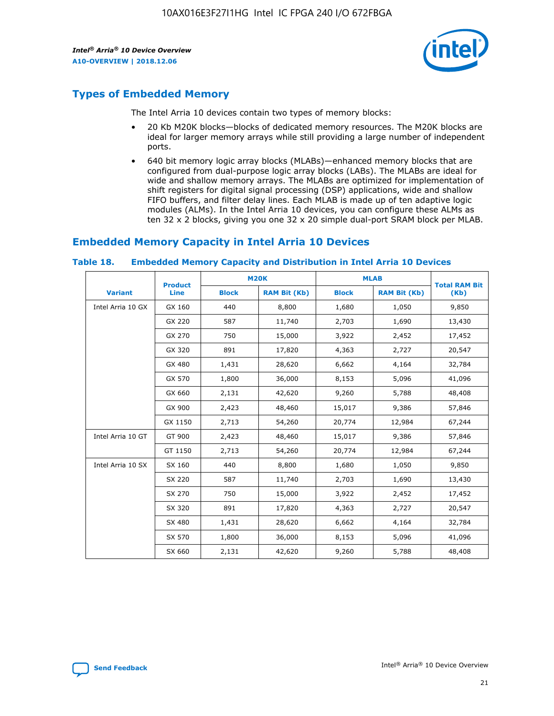

# **Types of Embedded Memory**

The Intel Arria 10 devices contain two types of memory blocks:

- 20 Kb M20K blocks—blocks of dedicated memory resources. The M20K blocks are ideal for larger memory arrays while still providing a large number of independent ports.
- 640 bit memory logic array blocks (MLABs)—enhanced memory blocks that are configured from dual-purpose logic array blocks (LABs). The MLABs are ideal for wide and shallow memory arrays. The MLABs are optimized for implementation of shift registers for digital signal processing (DSP) applications, wide and shallow FIFO buffers, and filter delay lines. Each MLAB is made up of ten adaptive logic modules (ALMs). In the Intel Arria 10 devices, you can configure these ALMs as ten 32 x 2 blocks, giving you one 32 x 20 simple dual-port SRAM block per MLAB.

# **Embedded Memory Capacity in Intel Arria 10 Devices**

|                   | <b>Product</b> |              | <b>M20K</b>         | <b>MLAB</b>  |                     | <b>Total RAM Bit</b> |
|-------------------|----------------|--------------|---------------------|--------------|---------------------|----------------------|
| <b>Variant</b>    | Line           | <b>Block</b> | <b>RAM Bit (Kb)</b> | <b>Block</b> | <b>RAM Bit (Kb)</b> | (Kb)                 |
| Intel Arria 10 GX | GX 160         | 440          | 8,800               | 1,680        | 1,050               | 9,850                |
|                   | GX 220         | 587          | 11,740              | 2,703        | 1,690               | 13,430               |
|                   | GX 270         | 750          | 15,000              | 3,922        | 2,452               | 17,452               |
|                   | GX 320         | 891          | 17,820              | 4,363        | 2,727               | 20,547               |
|                   | GX 480         | 1,431        | 28,620              | 6,662        | 4,164               | 32,784               |
|                   | GX 570         | 1,800        | 36,000              | 8,153        | 5,096               | 41,096               |
|                   | GX 660         | 2,131        | 42,620              | 9,260        | 5,788               | 48,408               |
|                   | GX 900         | 2,423        | 48,460              | 15,017       | 9,386               | 57,846               |
|                   | GX 1150        | 2,713        | 54,260              | 20,774       | 12,984              | 67,244               |
| Intel Arria 10 GT | GT 900         | 2,423        | 48,460              | 15,017       | 9,386               | 57,846               |
|                   | GT 1150        | 2,713        | 54,260              | 20,774       | 12,984              | 67,244               |
| Intel Arria 10 SX | SX 160         | 440          | 8,800               | 1,680        | 1,050               | 9,850                |
|                   | SX 220         | 587          | 11,740              | 2,703        | 1,690               | 13,430               |
|                   | SX 270         | 750          | 15,000              | 3,922        | 2,452               | 17,452               |
|                   | SX 320         | 891          | 17,820              | 4,363        | 2,727               | 20,547               |
|                   | SX 480         | 1,431        | 28,620              | 6,662        | 4,164               | 32,784               |
|                   | SX 570         | 1,800        | 36,000              | 8,153        | 5,096               | 41,096               |
|                   | SX 660         | 2,131        | 42,620              | 9,260        | 5,788               | 48,408               |

#### **Table 18. Embedded Memory Capacity and Distribution in Intel Arria 10 Devices**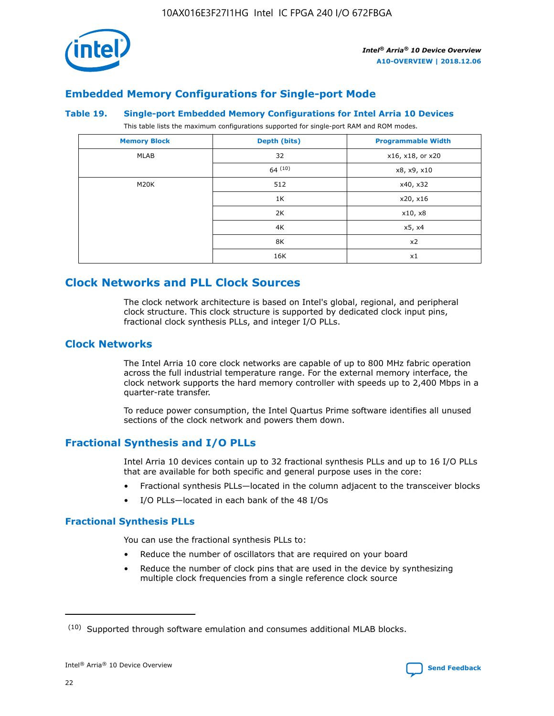

# **Embedded Memory Configurations for Single-port Mode**

#### **Table 19. Single-port Embedded Memory Configurations for Intel Arria 10 Devices**

This table lists the maximum configurations supported for single-port RAM and ROM modes.

| <b>Memory Block</b> | Depth (bits) | <b>Programmable Width</b> |
|---------------------|--------------|---------------------------|
| MLAB                | 32           | x16, x18, or x20          |
|                     | 64(10)       | x8, x9, x10               |
| M20K                | 512          | x40, x32                  |
|                     | 1K           | x20, x16                  |
|                     | 2K           | x10, x8                   |
|                     | 4K           | x5, x4                    |
|                     | 8K           | x2                        |
|                     | 16K          | x1                        |

# **Clock Networks and PLL Clock Sources**

The clock network architecture is based on Intel's global, regional, and peripheral clock structure. This clock structure is supported by dedicated clock input pins, fractional clock synthesis PLLs, and integer I/O PLLs.

# **Clock Networks**

The Intel Arria 10 core clock networks are capable of up to 800 MHz fabric operation across the full industrial temperature range. For the external memory interface, the clock network supports the hard memory controller with speeds up to 2,400 Mbps in a quarter-rate transfer.

To reduce power consumption, the Intel Quartus Prime software identifies all unused sections of the clock network and powers them down.

# **Fractional Synthesis and I/O PLLs**

Intel Arria 10 devices contain up to 32 fractional synthesis PLLs and up to 16 I/O PLLs that are available for both specific and general purpose uses in the core:

- Fractional synthesis PLLs—located in the column adjacent to the transceiver blocks
- I/O PLLs—located in each bank of the 48 I/Os

#### **Fractional Synthesis PLLs**

You can use the fractional synthesis PLLs to:

- Reduce the number of oscillators that are required on your board
- Reduce the number of clock pins that are used in the device by synthesizing multiple clock frequencies from a single reference clock source

<sup>(10)</sup> Supported through software emulation and consumes additional MLAB blocks.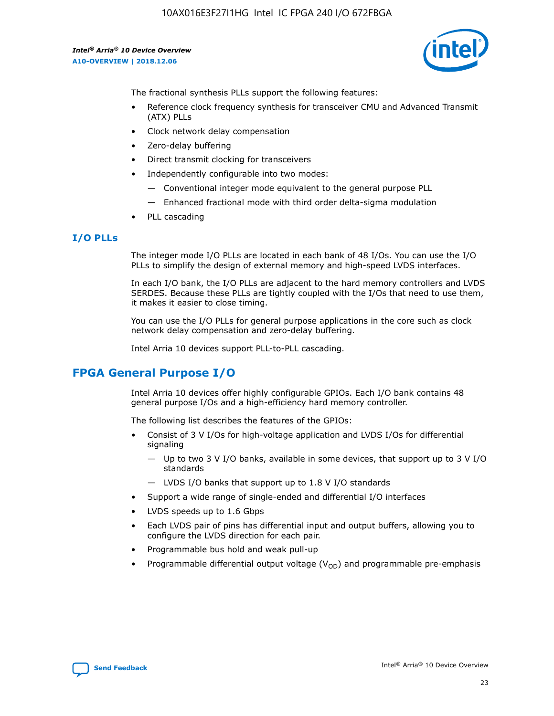

The fractional synthesis PLLs support the following features:

- Reference clock frequency synthesis for transceiver CMU and Advanced Transmit (ATX) PLLs
- Clock network delay compensation
- Zero-delay buffering
- Direct transmit clocking for transceivers
- Independently configurable into two modes:
	- Conventional integer mode equivalent to the general purpose PLL
	- Enhanced fractional mode with third order delta-sigma modulation
- PLL cascading

## **I/O PLLs**

The integer mode I/O PLLs are located in each bank of 48 I/Os. You can use the I/O PLLs to simplify the design of external memory and high-speed LVDS interfaces.

In each I/O bank, the I/O PLLs are adjacent to the hard memory controllers and LVDS SERDES. Because these PLLs are tightly coupled with the I/Os that need to use them, it makes it easier to close timing.

You can use the I/O PLLs for general purpose applications in the core such as clock network delay compensation and zero-delay buffering.

Intel Arria 10 devices support PLL-to-PLL cascading.

# **FPGA General Purpose I/O**

Intel Arria 10 devices offer highly configurable GPIOs. Each I/O bank contains 48 general purpose I/Os and a high-efficiency hard memory controller.

The following list describes the features of the GPIOs:

- Consist of 3 V I/Os for high-voltage application and LVDS I/Os for differential signaling
	- Up to two 3 V I/O banks, available in some devices, that support up to 3 V I/O standards
	- LVDS I/O banks that support up to 1.8 V I/O standards
- Support a wide range of single-ended and differential I/O interfaces
- LVDS speeds up to 1.6 Gbps
- Each LVDS pair of pins has differential input and output buffers, allowing you to configure the LVDS direction for each pair.
- Programmable bus hold and weak pull-up
- Programmable differential output voltage  $(V_{OD})$  and programmable pre-emphasis

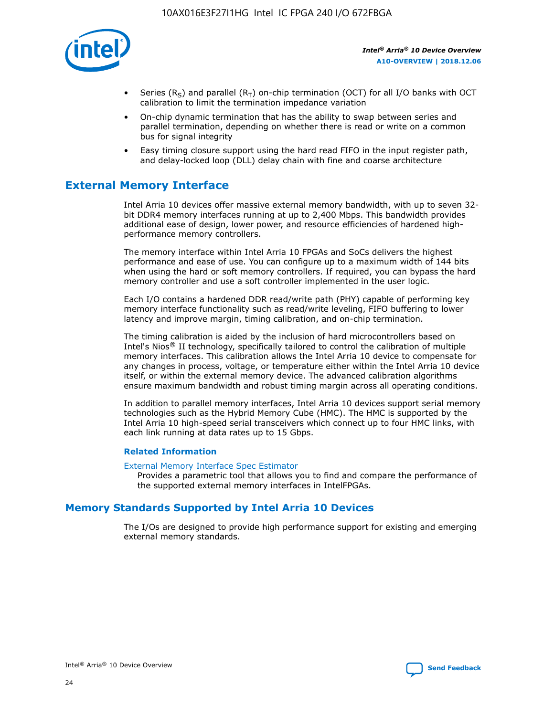

- Series (R<sub>S</sub>) and parallel (R<sub>T</sub>) on-chip termination (OCT) for all I/O banks with OCT calibration to limit the termination impedance variation
- On-chip dynamic termination that has the ability to swap between series and parallel termination, depending on whether there is read or write on a common bus for signal integrity
- Easy timing closure support using the hard read FIFO in the input register path, and delay-locked loop (DLL) delay chain with fine and coarse architecture

# **External Memory Interface**

Intel Arria 10 devices offer massive external memory bandwidth, with up to seven 32 bit DDR4 memory interfaces running at up to 2,400 Mbps. This bandwidth provides additional ease of design, lower power, and resource efficiencies of hardened highperformance memory controllers.

The memory interface within Intel Arria 10 FPGAs and SoCs delivers the highest performance and ease of use. You can configure up to a maximum width of 144 bits when using the hard or soft memory controllers. If required, you can bypass the hard memory controller and use a soft controller implemented in the user logic.

Each I/O contains a hardened DDR read/write path (PHY) capable of performing key memory interface functionality such as read/write leveling, FIFO buffering to lower latency and improve margin, timing calibration, and on-chip termination.

The timing calibration is aided by the inclusion of hard microcontrollers based on Intel's Nios® II technology, specifically tailored to control the calibration of multiple memory interfaces. This calibration allows the Intel Arria 10 device to compensate for any changes in process, voltage, or temperature either within the Intel Arria 10 device itself, or within the external memory device. The advanced calibration algorithms ensure maximum bandwidth and robust timing margin across all operating conditions.

In addition to parallel memory interfaces, Intel Arria 10 devices support serial memory technologies such as the Hybrid Memory Cube (HMC). The HMC is supported by the Intel Arria 10 high-speed serial transceivers which connect up to four HMC links, with each link running at data rates up to 15 Gbps.

#### **Related Information**

#### [External Memory Interface Spec Estimator](http://www.altera.com/technology/memory/estimator/mem-emif-index.html)

Provides a parametric tool that allows you to find and compare the performance of the supported external memory interfaces in IntelFPGAs.

# **Memory Standards Supported by Intel Arria 10 Devices**

The I/Os are designed to provide high performance support for existing and emerging external memory standards.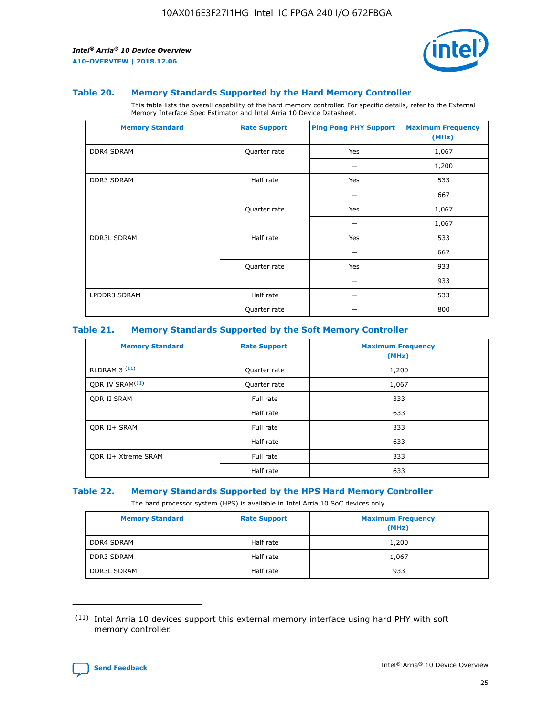

#### **Table 20. Memory Standards Supported by the Hard Memory Controller**

This table lists the overall capability of the hard memory controller. For specific details, refer to the External Memory Interface Spec Estimator and Intel Arria 10 Device Datasheet.

| <b>Memory Standard</b> | <b>Rate Support</b> | <b>Ping Pong PHY Support</b> | <b>Maximum Frequency</b><br>(MHz) |
|------------------------|---------------------|------------------------------|-----------------------------------|
| <b>DDR4 SDRAM</b>      | Quarter rate        | Yes                          | 1,067                             |
|                        |                     |                              | 1,200                             |
| DDR3 SDRAM             | Half rate           | Yes                          | 533                               |
|                        |                     |                              | 667                               |
|                        | Quarter rate        | Yes                          | 1,067                             |
|                        |                     |                              | 1,067                             |
| <b>DDR3L SDRAM</b>     | Half rate           | Yes                          | 533                               |
|                        |                     |                              | 667                               |
|                        | Quarter rate        | Yes                          | 933                               |
|                        |                     |                              | 933                               |
| LPDDR3 SDRAM           | Half rate           |                              | 533                               |
|                        | Quarter rate        |                              | 800                               |

#### **Table 21. Memory Standards Supported by the Soft Memory Controller**

| <b>Memory Standard</b>      | <b>Rate Support</b> | <b>Maximum Frequency</b><br>(MHz) |
|-----------------------------|---------------------|-----------------------------------|
| <b>RLDRAM 3 (11)</b>        | Quarter rate        | 1,200                             |
| ODR IV SRAM <sup>(11)</sup> | Quarter rate        | 1,067                             |
| <b>ODR II SRAM</b>          | Full rate           | 333                               |
|                             | Half rate           | 633                               |
| <b>ODR II+ SRAM</b>         | Full rate           | 333                               |
|                             | Half rate           | 633                               |
| <b>ODR II+ Xtreme SRAM</b>  | Full rate           | 333                               |
|                             | Half rate           | 633                               |

#### **Table 22. Memory Standards Supported by the HPS Hard Memory Controller**

The hard processor system (HPS) is available in Intel Arria 10 SoC devices only.

| <b>Memory Standard</b> | <b>Rate Support</b> | <b>Maximum Frequency</b><br>(MHz) |
|------------------------|---------------------|-----------------------------------|
| <b>DDR4 SDRAM</b>      | Half rate           | 1,200                             |
| <b>DDR3 SDRAM</b>      | Half rate           | 1,067                             |
| <b>DDR3L SDRAM</b>     | Half rate           | 933                               |

<sup>(11)</sup> Intel Arria 10 devices support this external memory interface using hard PHY with soft memory controller.

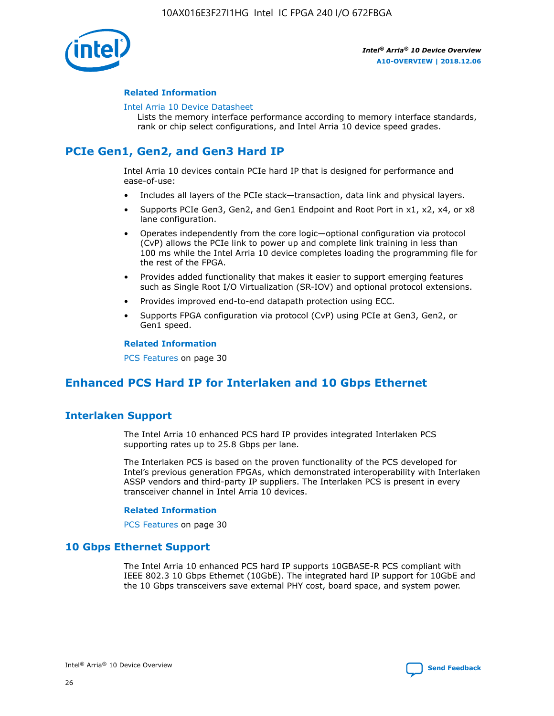

#### **Related Information**

#### [Intel Arria 10 Device Datasheet](https://www.intel.com/content/www/us/en/programmable/documentation/mcn1413182292568.html#mcn1413182153340)

Lists the memory interface performance according to memory interface standards, rank or chip select configurations, and Intel Arria 10 device speed grades.

# **PCIe Gen1, Gen2, and Gen3 Hard IP**

Intel Arria 10 devices contain PCIe hard IP that is designed for performance and ease-of-use:

- Includes all layers of the PCIe stack—transaction, data link and physical layers.
- Supports PCIe Gen3, Gen2, and Gen1 Endpoint and Root Port in x1, x2, x4, or x8 lane configuration.
- Operates independently from the core logic—optional configuration via protocol (CvP) allows the PCIe link to power up and complete link training in less than 100 ms while the Intel Arria 10 device completes loading the programming file for the rest of the FPGA.
- Provides added functionality that makes it easier to support emerging features such as Single Root I/O Virtualization (SR-IOV) and optional protocol extensions.
- Provides improved end-to-end datapath protection using ECC.
- Supports FPGA configuration via protocol (CvP) using PCIe at Gen3, Gen2, or Gen1 speed.

#### **Related Information**

PCS Features on page 30

# **Enhanced PCS Hard IP for Interlaken and 10 Gbps Ethernet**

# **Interlaken Support**

The Intel Arria 10 enhanced PCS hard IP provides integrated Interlaken PCS supporting rates up to 25.8 Gbps per lane.

The Interlaken PCS is based on the proven functionality of the PCS developed for Intel's previous generation FPGAs, which demonstrated interoperability with Interlaken ASSP vendors and third-party IP suppliers. The Interlaken PCS is present in every transceiver channel in Intel Arria 10 devices.

#### **Related Information**

PCS Features on page 30

# **10 Gbps Ethernet Support**

The Intel Arria 10 enhanced PCS hard IP supports 10GBASE-R PCS compliant with IEEE 802.3 10 Gbps Ethernet (10GbE). The integrated hard IP support for 10GbE and the 10 Gbps transceivers save external PHY cost, board space, and system power.

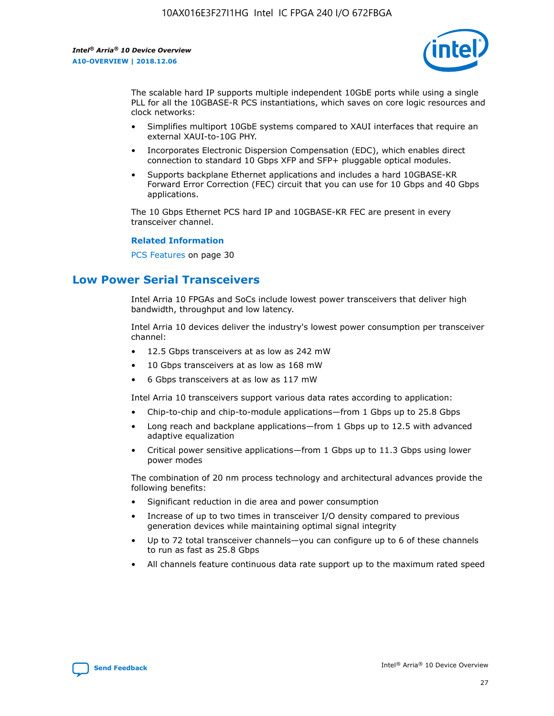

The scalable hard IP supports multiple independent 10GbE ports while using a single PLL for all the 10GBASE-R PCS instantiations, which saves on core logic resources and clock networks:

- Simplifies multiport 10GbE systems compared to XAUI interfaces that require an external XAUI-to-10G PHY.
- Incorporates Electronic Dispersion Compensation (EDC), which enables direct connection to standard 10 Gbps XFP and SFP+ pluggable optical modules.
- Supports backplane Ethernet applications and includes a hard 10GBASE-KR Forward Error Correction (FEC) circuit that you can use for 10 Gbps and 40 Gbps applications.

The 10 Gbps Ethernet PCS hard IP and 10GBASE-KR FEC are present in every transceiver channel.

#### **Related Information**

PCS Features on page 30

# **Low Power Serial Transceivers**

Intel Arria 10 FPGAs and SoCs include lowest power transceivers that deliver high bandwidth, throughput and low latency.

Intel Arria 10 devices deliver the industry's lowest power consumption per transceiver channel:

- 12.5 Gbps transceivers at as low as 242 mW
- 10 Gbps transceivers at as low as 168 mW
- 6 Gbps transceivers at as low as 117 mW

Intel Arria 10 transceivers support various data rates according to application:

- Chip-to-chip and chip-to-module applications—from 1 Gbps up to 25.8 Gbps
- Long reach and backplane applications—from 1 Gbps up to 12.5 with advanced adaptive equalization
- Critical power sensitive applications—from 1 Gbps up to 11.3 Gbps using lower power modes

The combination of 20 nm process technology and architectural advances provide the following benefits:

- Significant reduction in die area and power consumption
- Increase of up to two times in transceiver I/O density compared to previous generation devices while maintaining optimal signal integrity
- Up to 72 total transceiver channels—you can configure up to 6 of these channels to run as fast as 25.8 Gbps
- All channels feature continuous data rate support up to the maximum rated speed

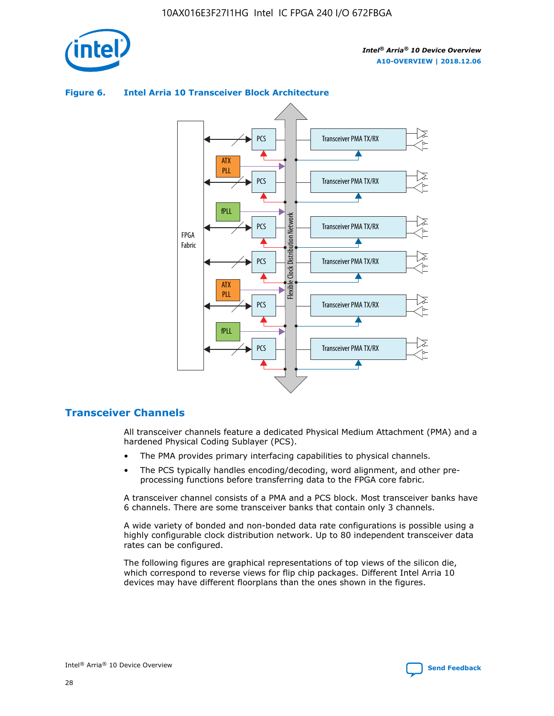



## **Figure 6. Intel Arria 10 Transceiver Block Architecture**

# **Transceiver Channels**

All transceiver channels feature a dedicated Physical Medium Attachment (PMA) and a hardened Physical Coding Sublayer (PCS).

- The PMA provides primary interfacing capabilities to physical channels.
- The PCS typically handles encoding/decoding, word alignment, and other preprocessing functions before transferring data to the FPGA core fabric.

A transceiver channel consists of a PMA and a PCS block. Most transceiver banks have 6 channels. There are some transceiver banks that contain only 3 channels.

A wide variety of bonded and non-bonded data rate configurations is possible using a highly configurable clock distribution network. Up to 80 independent transceiver data rates can be configured.

The following figures are graphical representations of top views of the silicon die, which correspond to reverse views for flip chip packages. Different Intel Arria 10 devices may have different floorplans than the ones shown in the figures.

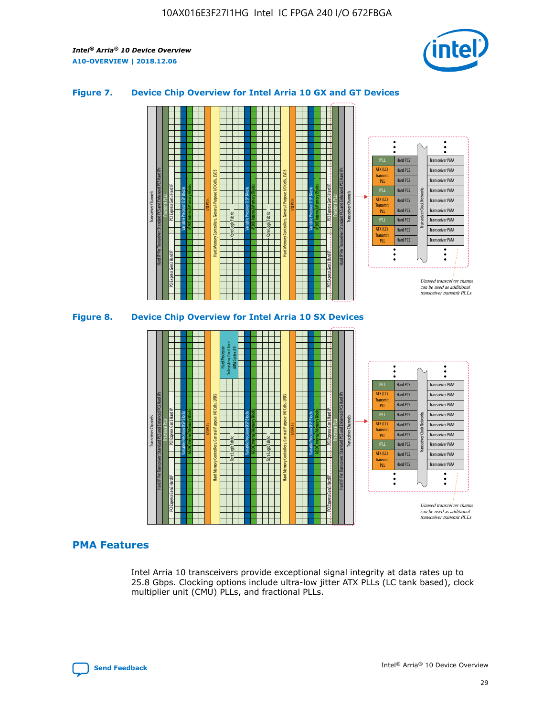

## **Figure 7. Device Chip Overview for Intel Arria 10 GX and GT Devices**



M20K Internal Memory Blocks Core Logic Fabric Transceiver Channels Hard IP Per Transceiver: Standard PCS and Enhanced PCS Hard IPs PCI Express Gen3 Hard IP Fractional PLLs M20K Internal Memory Blocks PCI Express Gen3 Hard IP Variable Precision DSP Blocks I/O PLLs Hard Memory Controllers, General-Purpose I/O Cells, LVDS Hard Processor Subsystem, Dual-Core ARM Cortex A9 M20K Internal Memory Blocks Variable Precision DSP Blocks M20K Internal Memory Blocks Core Logic Fabric I/O PLLs Hard Memory Controllers, General-Purpose I/O Cells, LVDS M20K Internal Memory Blocks Variable Precision DSP Blocks M20K Internal Memory Blocks Transceiver Channels Hard IP Per Transceiver: Standard PCS and Enhanced PCS Hard IPs PCI Express Gen3 Hard IP Fractional PLLs PCI Express Gen3 Hard IP Hard PCS Hard PCS Hard PCS Hard PCS Hard PCS Hard PCS Hard PCS Hard PCS Transceiver PMA Transceiver PMA Transceiver PMA Transceiver PMA Transceiver PMA Transceiver PMA Unused transceiver chann can be used as additional transceiver transmit PLLs Transceiver PMA Transceiver PMA Transceiver Clock Networks ATX (LC) **Transmit** PLL fPLL ATX (LC) Transmi PLL fPLL ATX (LC) **Transmit** PLL

# **PMA Features**

Intel Arria 10 transceivers provide exceptional signal integrity at data rates up to 25.8 Gbps. Clocking options include ultra-low jitter ATX PLLs (LC tank based), clock multiplier unit (CMU) PLLs, and fractional PLLs.

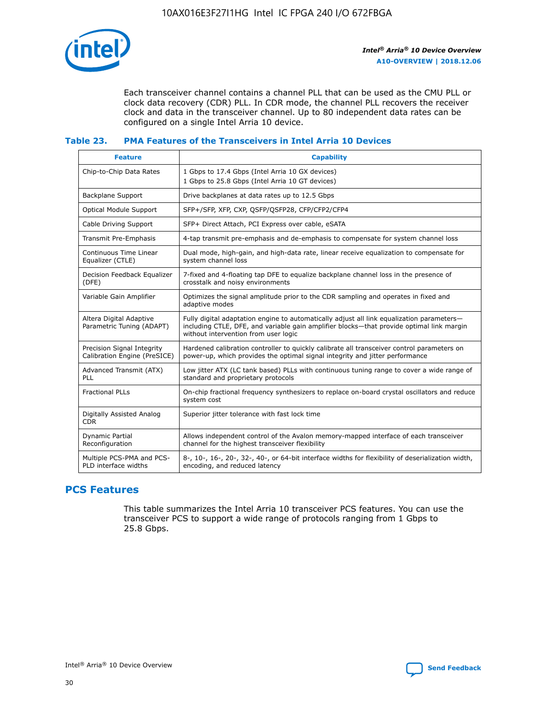

Each transceiver channel contains a channel PLL that can be used as the CMU PLL or clock data recovery (CDR) PLL. In CDR mode, the channel PLL recovers the receiver clock and data in the transceiver channel. Up to 80 independent data rates can be configured on a single Intel Arria 10 device.

## **Table 23. PMA Features of the Transceivers in Intel Arria 10 Devices**

| <b>Feature</b>                                             | <b>Capability</b>                                                                                                                                                                                                             |
|------------------------------------------------------------|-------------------------------------------------------------------------------------------------------------------------------------------------------------------------------------------------------------------------------|
| Chip-to-Chip Data Rates                                    | 1 Gbps to 17.4 Gbps (Intel Arria 10 GX devices)<br>1 Gbps to 25.8 Gbps (Intel Arria 10 GT devices)                                                                                                                            |
| Backplane Support                                          | Drive backplanes at data rates up to 12.5 Gbps                                                                                                                                                                                |
| <b>Optical Module Support</b>                              | SFP+/SFP, XFP, CXP, QSFP/QSFP28, CFP/CFP2/CFP4                                                                                                                                                                                |
| Cable Driving Support                                      | SFP+ Direct Attach, PCI Express over cable, eSATA                                                                                                                                                                             |
| Transmit Pre-Emphasis                                      | 4-tap transmit pre-emphasis and de-emphasis to compensate for system channel loss                                                                                                                                             |
| Continuous Time Linear<br>Equalizer (CTLE)                 | Dual mode, high-gain, and high-data rate, linear receive equalization to compensate for<br>system channel loss                                                                                                                |
| Decision Feedback Equalizer<br>(DFE)                       | 7-fixed and 4-floating tap DFE to equalize backplane channel loss in the presence of<br>crosstalk and noisy environments                                                                                                      |
| Variable Gain Amplifier                                    | Optimizes the signal amplitude prior to the CDR sampling and operates in fixed and<br>adaptive modes                                                                                                                          |
| Altera Digital Adaptive<br>Parametric Tuning (ADAPT)       | Fully digital adaptation engine to automatically adjust all link equalization parameters-<br>including CTLE, DFE, and variable gain amplifier blocks—that provide optimal link margin<br>without intervention from user logic |
| Precision Signal Integrity<br>Calibration Engine (PreSICE) | Hardened calibration controller to quickly calibrate all transceiver control parameters on<br>power-up, which provides the optimal signal integrity and jitter performance                                                    |
| Advanced Transmit (ATX)<br>PLL                             | Low jitter ATX (LC tank based) PLLs with continuous tuning range to cover a wide range of<br>standard and proprietary protocols                                                                                               |
| <b>Fractional PLLs</b>                                     | On-chip fractional frequency synthesizers to replace on-board crystal oscillators and reduce<br>system cost                                                                                                                   |
| Digitally Assisted Analog<br><b>CDR</b>                    | Superior jitter tolerance with fast lock time                                                                                                                                                                                 |
| <b>Dynamic Partial</b><br>Reconfiguration                  | Allows independent control of the Avalon memory-mapped interface of each transceiver<br>channel for the highest transceiver flexibility                                                                                       |
| Multiple PCS-PMA and PCS-<br>PLD interface widths          | 8-, 10-, 16-, 20-, 32-, 40-, or 64-bit interface widths for flexibility of deserialization width,<br>encoding, and reduced latency                                                                                            |

# **PCS Features**

This table summarizes the Intel Arria 10 transceiver PCS features. You can use the transceiver PCS to support a wide range of protocols ranging from 1 Gbps to 25.8 Gbps.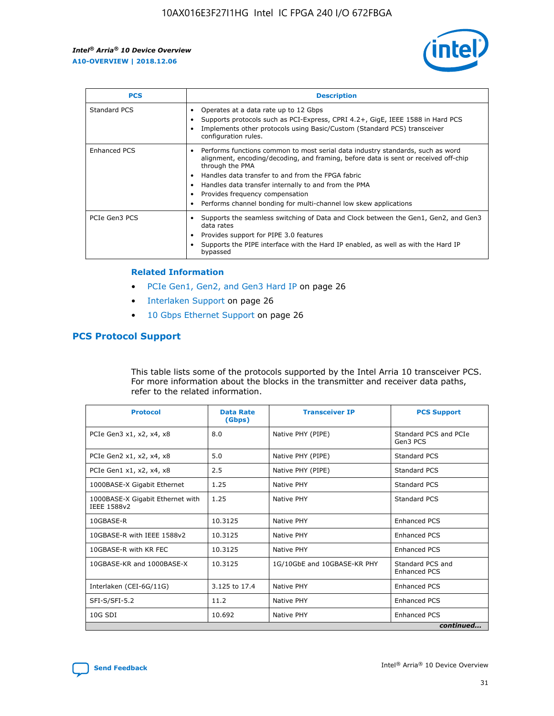

| <b>PCS</b>          | <b>Description</b>                                                                                                                                                                                                                                                                                                                                                                                             |
|---------------------|----------------------------------------------------------------------------------------------------------------------------------------------------------------------------------------------------------------------------------------------------------------------------------------------------------------------------------------------------------------------------------------------------------------|
| Standard PCS        | Operates at a data rate up to 12 Gbps<br>Supports protocols such as PCI-Express, CPRI 4.2+, GigE, IEEE 1588 in Hard PCS<br>Implements other protocols using Basic/Custom (Standard PCS) transceiver<br>configuration rules.                                                                                                                                                                                    |
| <b>Enhanced PCS</b> | Performs functions common to most serial data industry standards, such as word<br>alignment, encoding/decoding, and framing, before data is sent or received off-chip<br>through the PMA<br>• Handles data transfer to and from the FPGA fabric<br>Handles data transfer internally to and from the PMA<br>Provides frequency compensation<br>Performs channel bonding for multi-channel low skew applications |
| PCIe Gen3 PCS       | Supports the seamless switching of Data and Clock between the Gen1, Gen2, and Gen3<br>data rates<br>Provides support for PIPE 3.0 features<br>Supports the PIPE interface with the Hard IP enabled, as well as with the Hard IP<br>bypassed                                                                                                                                                                    |

#### **Related Information**

- PCIe Gen1, Gen2, and Gen3 Hard IP on page 26
- Interlaken Support on page 26
- 10 Gbps Ethernet Support on page 26

# **PCS Protocol Support**

This table lists some of the protocols supported by the Intel Arria 10 transceiver PCS. For more information about the blocks in the transmitter and receiver data paths, refer to the related information.

| <b>Protocol</b>                                 | <b>Data Rate</b><br>(Gbps) | <b>Transceiver IP</b>       | <b>PCS Support</b>                      |
|-------------------------------------------------|----------------------------|-----------------------------|-----------------------------------------|
| PCIe Gen3 x1, x2, x4, x8                        | 8.0                        | Native PHY (PIPE)           | Standard PCS and PCIe<br>Gen3 PCS       |
| PCIe Gen2 x1, x2, x4, x8                        | 5.0                        | Native PHY (PIPE)           | <b>Standard PCS</b>                     |
| PCIe Gen1 x1, x2, x4, x8                        | 2.5                        | Native PHY (PIPE)           | Standard PCS                            |
| 1000BASE-X Gigabit Ethernet                     | 1.25                       | Native PHY                  | <b>Standard PCS</b>                     |
| 1000BASE-X Gigabit Ethernet with<br>IEEE 1588v2 | 1.25                       | Native PHY                  | Standard PCS                            |
| 10GBASE-R                                       | 10.3125                    | Native PHY                  | <b>Enhanced PCS</b>                     |
| 10GBASE-R with IEEE 1588v2                      | 10.3125                    | Native PHY                  | <b>Enhanced PCS</b>                     |
| 10GBASE-R with KR FEC                           | 10.3125                    | Native PHY                  | <b>Enhanced PCS</b>                     |
| 10GBASE-KR and 1000BASE-X                       | 10.3125                    | 1G/10GbE and 10GBASE-KR PHY | Standard PCS and<br><b>Enhanced PCS</b> |
| Interlaken (CEI-6G/11G)                         | 3.125 to 17.4              | Native PHY                  | <b>Enhanced PCS</b>                     |
| SFI-S/SFI-5.2                                   | 11.2                       | Native PHY                  | <b>Enhanced PCS</b>                     |
| $10G$ SDI                                       | 10.692                     | Native PHY                  | <b>Enhanced PCS</b>                     |
|                                                 |                            |                             | continued                               |

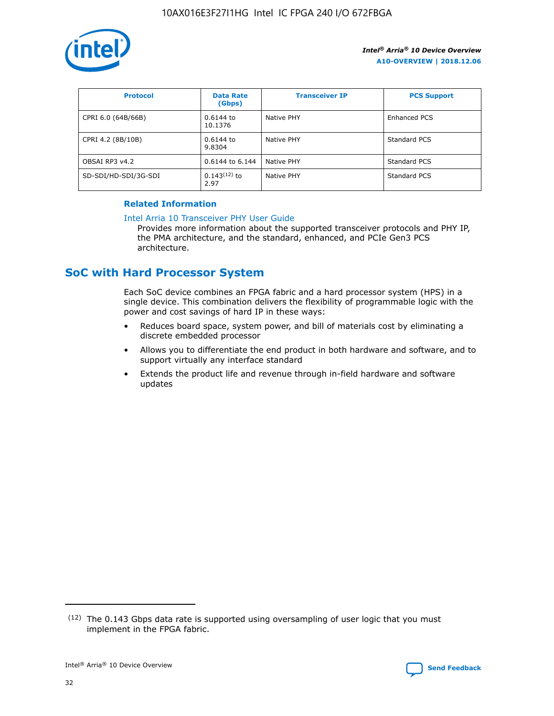

| <b>Protocol</b>      | <b>Data Rate</b><br>(Gbps) | <b>Transceiver IP</b> | <b>PCS Support</b> |
|----------------------|----------------------------|-----------------------|--------------------|
| CPRI 6.0 (64B/66B)   | 0.6144 to<br>10.1376       | Native PHY            | Enhanced PCS       |
| CPRI 4.2 (8B/10B)    | 0.6144 to<br>9.8304        | Native PHY            | Standard PCS       |
| OBSAI RP3 v4.2       | 0.6144 to 6.144            | Native PHY            | Standard PCS       |
| SD-SDI/HD-SDI/3G-SDI | $0.143(12)$ to<br>2.97     | Native PHY            | Standard PCS       |

# **Related Information**

#### [Intel Arria 10 Transceiver PHY User Guide](https://www.intel.com/content/www/us/en/programmable/documentation/nik1398707230472.html#nik1398707091164)

Provides more information about the supported transceiver protocols and PHY IP, the PMA architecture, and the standard, enhanced, and PCIe Gen3 PCS architecture.

# **SoC with Hard Processor System**

Each SoC device combines an FPGA fabric and a hard processor system (HPS) in a single device. This combination delivers the flexibility of programmable logic with the power and cost savings of hard IP in these ways:

- Reduces board space, system power, and bill of materials cost by eliminating a discrete embedded processor
- Allows you to differentiate the end product in both hardware and software, and to support virtually any interface standard
- Extends the product life and revenue through in-field hardware and software updates

 $(12)$  The 0.143 Gbps data rate is supported using oversampling of user logic that you must implement in the FPGA fabric.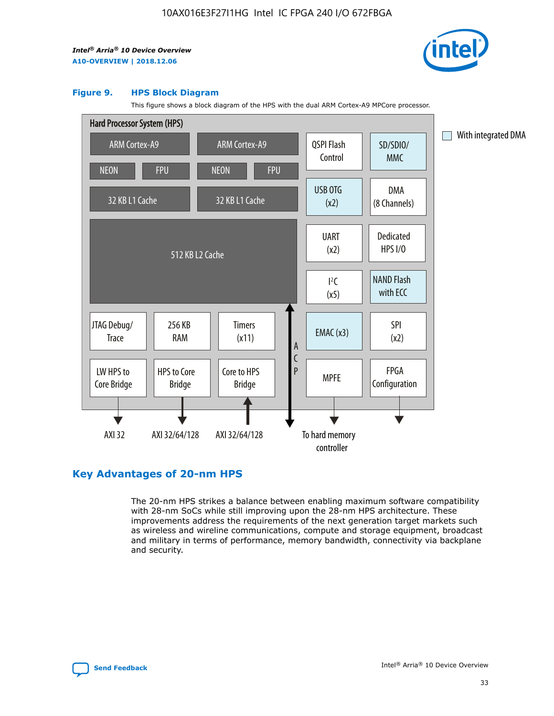

#### **Figure 9. HPS Block Diagram**

This figure shows a block diagram of the HPS with the dual ARM Cortex-A9 MPCore processor.



# **Key Advantages of 20-nm HPS**

The 20-nm HPS strikes a balance between enabling maximum software compatibility with 28-nm SoCs while still improving upon the 28-nm HPS architecture. These improvements address the requirements of the next generation target markets such as wireless and wireline communications, compute and storage equipment, broadcast and military in terms of performance, memory bandwidth, connectivity via backplane and security.

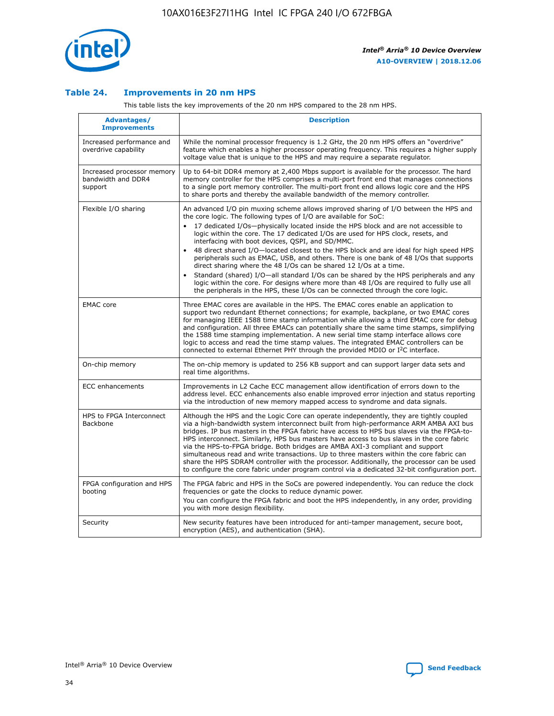

## **Table 24. Improvements in 20 nm HPS**

This table lists the key improvements of the 20 nm HPS compared to the 28 nm HPS.

| Advantages/<br><b>Improvements</b>                          | <b>Description</b>                                                                                                                                                                                                                                                                                                                                                                                                                                                                                                                                                                                                                                                                                                                                                                                                                                                                                                                                |
|-------------------------------------------------------------|---------------------------------------------------------------------------------------------------------------------------------------------------------------------------------------------------------------------------------------------------------------------------------------------------------------------------------------------------------------------------------------------------------------------------------------------------------------------------------------------------------------------------------------------------------------------------------------------------------------------------------------------------------------------------------------------------------------------------------------------------------------------------------------------------------------------------------------------------------------------------------------------------------------------------------------------------|
| Increased performance and<br>overdrive capability           | While the nominal processor frequency is 1.2 GHz, the 20 nm HPS offers an "overdrive"<br>feature which enables a higher processor operating frequency. This requires a higher supply<br>voltage value that is unique to the HPS and may require a separate regulator.                                                                                                                                                                                                                                                                                                                                                                                                                                                                                                                                                                                                                                                                             |
| Increased processor memory<br>bandwidth and DDR4<br>support | Up to 64-bit DDR4 memory at 2,400 Mbps support is available for the processor. The hard<br>memory controller for the HPS comprises a multi-port front end that manages connections<br>to a single port memory controller. The multi-port front end allows logic core and the HPS<br>to share ports and thereby the available bandwidth of the memory controller.                                                                                                                                                                                                                                                                                                                                                                                                                                                                                                                                                                                  |
| Flexible I/O sharing                                        | An advanced I/O pin muxing scheme allows improved sharing of I/O between the HPS and<br>the core logic. The following types of I/O are available for SoC:<br>$\bullet$<br>17 dedicated I/Os-physically located inside the HPS block and are not accessible to<br>logic within the core. The 17 dedicated I/Os are used for HPS clock, resets, and<br>interfacing with boot devices, QSPI, and SD/MMC.<br>48 direct shared I/O-located closest to the HPS block and are ideal for high speed HPS<br>$\bullet$<br>peripherals such as EMAC, USB, and others. There is one bank of 48 I/Os that supports<br>direct sharing where the 48 I/Os can be shared 12 I/Os at a time.<br>Standard (shared) I/O-all standard I/Os can be shared by the HPS peripherals and any<br>logic within the core. For designs where more than 48 I/Os are required to fully use all<br>the peripherals in the HPS, these I/Os can be connected through the core logic. |
| <b>EMAC</b> core                                            | Three EMAC cores are available in the HPS. The EMAC cores enable an application to<br>support two redundant Ethernet connections; for example, backplane, or two EMAC cores<br>for managing IEEE 1588 time stamp information while allowing a third EMAC core for debug<br>and configuration. All three EMACs can potentially share the same time stamps, simplifying<br>the 1588 time stamping implementation. A new serial time stamp interface allows core<br>logic to access and read the time stamp values. The integrated EMAC controllers can be<br>connected to external Ethernet PHY through the provided MDIO or I <sup>2</sup> C interface.                                                                                                                                                                                                                                                                                            |
| On-chip memory                                              | The on-chip memory is updated to 256 KB support and can support larger data sets and<br>real time algorithms.                                                                                                                                                                                                                                                                                                                                                                                                                                                                                                                                                                                                                                                                                                                                                                                                                                     |
| <b>ECC</b> enhancements                                     | Improvements in L2 Cache ECC management allow identification of errors down to the<br>address level. ECC enhancements also enable improved error injection and status reporting<br>via the introduction of new memory mapped access to syndrome and data signals.                                                                                                                                                                                                                                                                                                                                                                                                                                                                                                                                                                                                                                                                                 |
| HPS to FPGA Interconnect<br>Backbone                        | Although the HPS and the Logic Core can operate independently, they are tightly coupled<br>via a high-bandwidth system interconnect built from high-performance ARM AMBA AXI bus<br>bridges. IP bus masters in the FPGA fabric have access to HPS bus slaves via the FPGA-to-<br>HPS interconnect. Similarly, HPS bus masters have access to bus slaves in the core fabric<br>via the HPS-to-FPGA bridge. Both bridges are AMBA AXI-3 compliant and support<br>simultaneous read and write transactions. Up to three masters within the core fabric can<br>share the HPS SDRAM controller with the processor. Additionally, the processor can be used<br>to configure the core fabric under program control via a dedicated 32-bit configuration port.                                                                                                                                                                                            |
| FPGA configuration and HPS<br>booting                       | The FPGA fabric and HPS in the SoCs are powered independently. You can reduce the clock<br>frequencies or gate the clocks to reduce dynamic power.<br>You can configure the FPGA fabric and boot the HPS independently, in any order, providing<br>you with more design flexibility.                                                                                                                                                                                                                                                                                                                                                                                                                                                                                                                                                                                                                                                              |
| Security                                                    | New security features have been introduced for anti-tamper management, secure boot,<br>encryption (AES), and authentication (SHA).                                                                                                                                                                                                                                                                                                                                                                                                                                                                                                                                                                                                                                                                                                                                                                                                                |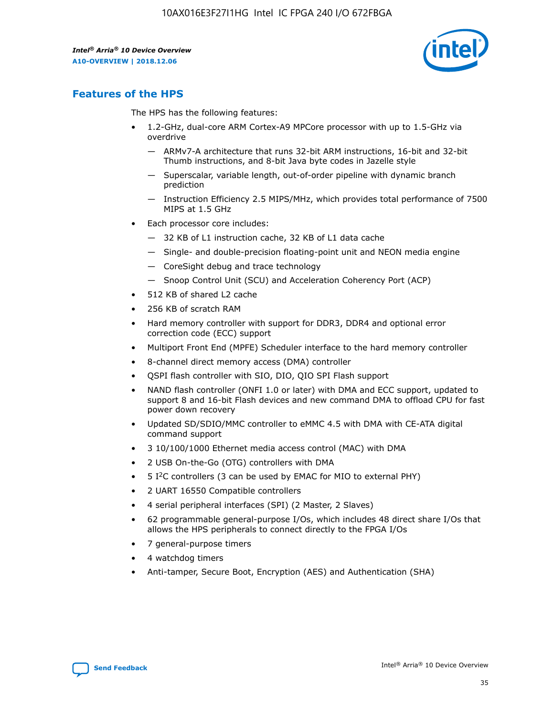

# **Features of the HPS**

The HPS has the following features:

- 1.2-GHz, dual-core ARM Cortex-A9 MPCore processor with up to 1.5-GHz via overdrive
	- ARMv7-A architecture that runs 32-bit ARM instructions, 16-bit and 32-bit Thumb instructions, and 8-bit Java byte codes in Jazelle style
	- Superscalar, variable length, out-of-order pipeline with dynamic branch prediction
	- Instruction Efficiency 2.5 MIPS/MHz, which provides total performance of 7500 MIPS at 1.5 GHz
- Each processor core includes:
	- 32 KB of L1 instruction cache, 32 KB of L1 data cache
	- Single- and double-precision floating-point unit and NEON media engine
	- CoreSight debug and trace technology
	- Snoop Control Unit (SCU) and Acceleration Coherency Port (ACP)
- 512 KB of shared L2 cache
- 256 KB of scratch RAM
- Hard memory controller with support for DDR3, DDR4 and optional error correction code (ECC) support
- Multiport Front End (MPFE) Scheduler interface to the hard memory controller
- 8-channel direct memory access (DMA) controller
- QSPI flash controller with SIO, DIO, QIO SPI Flash support
- NAND flash controller (ONFI 1.0 or later) with DMA and ECC support, updated to support 8 and 16-bit Flash devices and new command DMA to offload CPU for fast power down recovery
- Updated SD/SDIO/MMC controller to eMMC 4.5 with DMA with CE-ATA digital command support
- 3 10/100/1000 Ethernet media access control (MAC) with DMA
- 2 USB On-the-Go (OTG) controllers with DMA
- $\bullet$  5 I<sup>2</sup>C controllers (3 can be used by EMAC for MIO to external PHY)
- 2 UART 16550 Compatible controllers
- 4 serial peripheral interfaces (SPI) (2 Master, 2 Slaves)
- 62 programmable general-purpose I/Os, which includes 48 direct share I/Os that allows the HPS peripherals to connect directly to the FPGA I/Os
- 7 general-purpose timers
- 4 watchdog timers
- Anti-tamper, Secure Boot, Encryption (AES) and Authentication (SHA)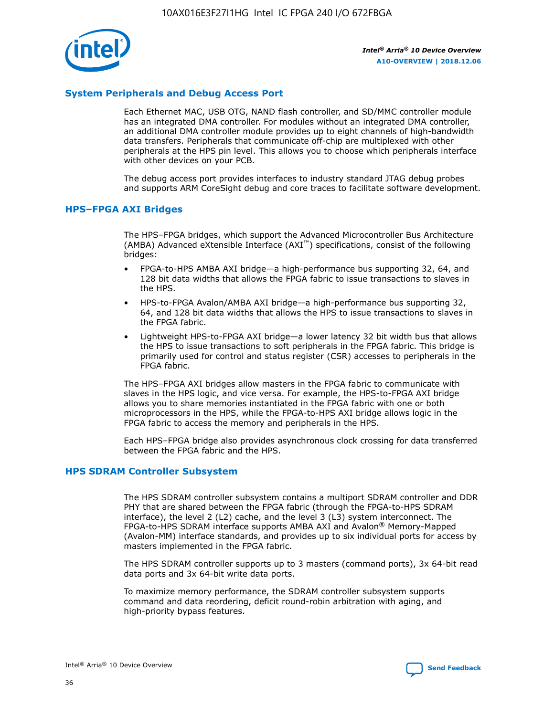

# **System Peripherals and Debug Access Port**

Each Ethernet MAC, USB OTG, NAND flash controller, and SD/MMC controller module has an integrated DMA controller. For modules without an integrated DMA controller, an additional DMA controller module provides up to eight channels of high-bandwidth data transfers. Peripherals that communicate off-chip are multiplexed with other peripherals at the HPS pin level. This allows you to choose which peripherals interface with other devices on your PCB.

The debug access port provides interfaces to industry standard JTAG debug probes and supports ARM CoreSight debug and core traces to facilitate software development.

## **HPS–FPGA AXI Bridges**

The HPS–FPGA bridges, which support the Advanced Microcontroller Bus Architecture (AMBA) Advanced eXtensible Interface (AXI™) specifications, consist of the following bridges:

- FPGA-to-HPS AMBA AXI bridge—a high-performance bus supporting 32, 64, and 128 bit data widths that allows the FPGA fabric to issue transactions to slaves in the HPS.
- HPS-to-FPGA Avalon/AMBA AXI bridge—a high-performance bus supporting 32, 64, and 128 bit data widths that allows the HPS to issue transactions to slaves in the FPGA fabric.
- Lightweight HPS-to-FPGA AXI bridge—a lower latency 32 bit width bus that allows the HPS to issue transactions to soft peripherals in the FPGA fabric. This bridge is primarily used for control and status register (CSR) accesses to peripherals in the FPGA fabric.

The HPS–FPGA AXI bridges allow masters in the FPGA fabric to communicate with slaves in the HPS logic, and vice versa. For example, the HPS-to-FPGA AXI bridge allows you to share memories instantiated in the FPGA fabric with one or both microprocessors in the HPS, while the FPGA-to-HPS AXI bridge allows logic in the FPGA fabric to access the memory and peripherals in the HPS.

Each HPS–FPGA bridge also provides asynchronous clock crossing for data transferred between the FPGA fabric and the HPS.

#### **HPS SDRAM Controller Subsystem**

The HPS SDRAM controller subsystem contains a multiport SDRAM controller and DDR PHY that are shared between the FPGA fabric (through the FPGA-to-HPS SDRAM interface), the level 2 (L2) cache, and the level 3 (L3) system interconnect. The FPGA-to-HPS SDRAM interface supports AMBA AXI and Avalon® Memory-Mapped (Avalon-MM) interface standards, and provides up to six individual ports for access by masters implemented in the FPGA fabric.

The HPS SDRAM controller supports up to 3 masters (command ports), 3x 64-bit read data ports and 3x 64-bit write data ports.

To maximize memory performance, the SDRAM controller subsystem supports command and data reordering, deficit round-robin arbitration with aging, and high-priority bypass features.

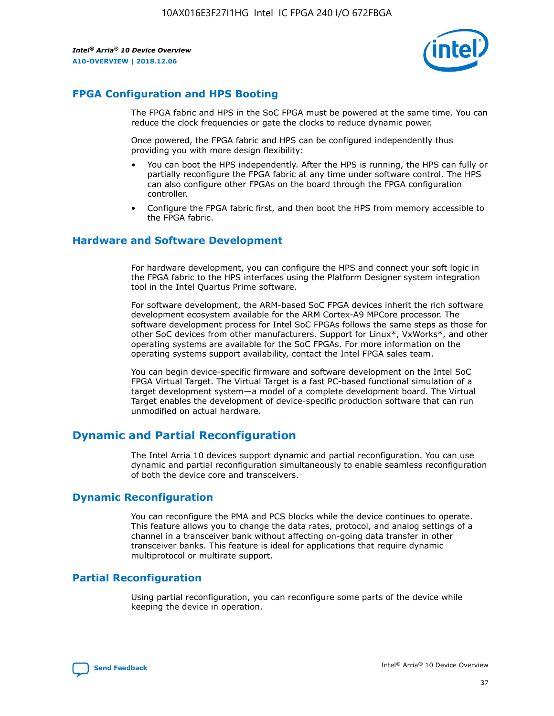

# **FPGA Configuration and HPS Booting**

The FPGA fabric and HPS in the SoC FPGA must be powered at the same time. You can reduce the clock frequencies or gate the clocks to reduce dynamic power.

Once powered, the FPGA fabric and HPS can be configured independently thus providing you with more design flexibility:

- You can boot the HPS independently. After the HPS is running, the HPS can fully or partially reconfigure the FPGA fabric at any time under software control. The HPS can also configure other FPGAs on the board through the FPGA configuration controller.
- Configure the FPGA fabric first, and then boot the HPS from memory accessible to the FPGA fabric.

## **Hardware and Software Development**

For hardware development, you can configure the HPS and connect your soft logic in the FPGA fabric to the HPS interfaces using the Platform Designer system integration tool in the Intel Quartus Prime software.

For software development, the ARM-based SoC FPGA devices inherit the rich software development ecosystem available for the ARM Cortex-A9 MPCore processor. The software development process for Intel SoC FPGAs follows the same steps as those for other SoC devices from other manufacturers. Support for Linux\*, VxWorks\*, and other operating systems are available for the SoC FPGAs. For more information on the operating systems support availability, contact the Intel FPGA sales team.

You can begin device-specific firmware and software development on the Intel SoC FPGA Virtual Target. The Virtual Target is a fast PC-based functional simulation of a target development system—a model of a complete development board. The Virtual Target enables the development of device-specific production software that can run unmodified on actual hardware.

# **Dynamic and Partial Reconfiguration**

The Intel Arria 10 devices support dynamic and partial reconfiguration. You can use dynamic and partial reconfiguration simultaneously to enable seamless reconfiguration of both the device core and transceivers.

# **Dynamic Reconfiguration**

You can reconfigure the PMA and PCS blocks while the device continues to operate. This feature allows you to change the data rates, protocol, and analog settings of a channel in a transceiver bank without affecting on-going data transfer in other transceiver banks. This feature is ideal for applications that require dynamic multiprotocol or multirate support.

# **Partial Reconfiguration**

Using partial reconfiguration, you can reconfigure some parts of the device while keeping the device in operation.

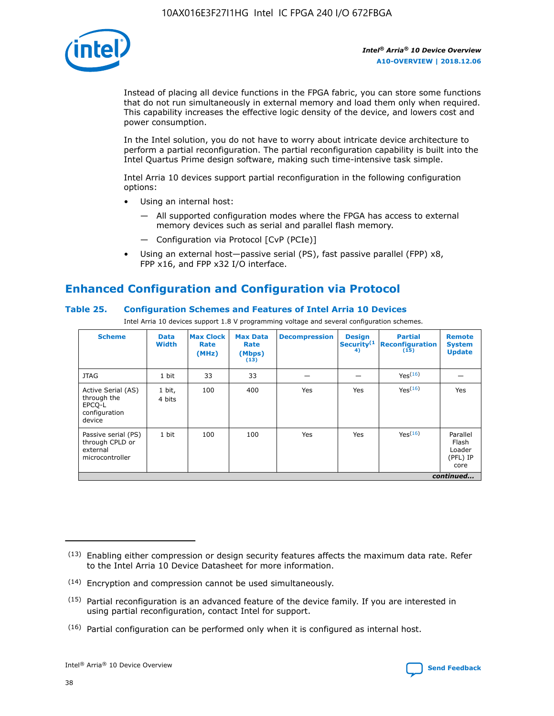

Instead of placing all device functions in the FPGA fabric, you can store some functions that do not run simultaneously in external memory and load them only when required. This capability increases the effective logic density of the device, and lowers cost and power consumption.

In the Intel solution, you do not have to worry about intricate device architecture to perform a partial reconfiguration. The partial reconfiguration capability is built into the Intel Quartus Prime design software, making such time-intensive task simple.

Intel Arria 10 devices support partial reconfiguration in the following configuration options:

- Using an internal host:
	- All supported configuration modes where the FPGA has access to external memory devices such as serial and parallel flash memory.
	- Configuration via Protocol [CvP (PCIe)]
- Using an external host—passive serial (PS), fast passive parallel (FPP) x8, FPP x16, and FPP x32 I/O interface.

# **Enhanced Configuration and Configuration via Protocol**

# **Table 25. Configuration Schemes and Features of Intel Arria 10 Devices**

Intel Arria 10 devices support 1.8 V programming voltage and several configuration schemes.

| <b>Scheme</b>                                                          | <b>Data</b><br><b>Width</b> | <b>Max Clock</b><br>Rate<br>(MHz) | <b>Max Data</b><br>Rate<br>(Mbps)<br>(13) | <b>Decompression</b> | <b>Design</b><br>Security <sup>(1</sup><br>4) | <b>Partial</b><br><b>Reconfiguration</b><br>(15) | <b>Remote</b><br><b>System</b><br><b>Update</b> |
|------------------------------------------------------------------------|-----------------------------|-----------------------------------|-------------------------------------------|----------------------|-----------------------------------------------|--------------------------------------------------|-------------------------------------------------|
| <b>JTAG</b>                                                            | 1 bit                       | 33                                | 33                                        |                      |                                               | Yes(16)                                          |                                                 |
| Active Serial (AS)<br>through the<br>EPCO-L<br>configuration<br>device | 1 bit,<br>4 bits            | 100                               | 400                                       | Yes                  | Yes                                           | $Y_{PS}(16)$                                     | Yes                                             |
| Passive serial (PS)<br>through CPLD or<br>external<br>microcontroller  | 1 bit                       | 100                               | 100                                       | Yes                  | Yes                                           | Yes(16)                                          | Parallel<br>Flash<br>Loader<br>(PFL) IP<br>core |
|                                                                        |                             |                                   |                                           |                      |                                               |                                                  | continued                                       |

<sup>(13)</sup> Enabling either compression or design security features affects the maximum data rate. Refer to the Intel Arria 10 Device Datasheet for more information.

<sup>(14)</sup> Encryption and compression cannot be used simultaneously.

 $(15)$  Partial reconfiguration is an advanced feature of the device family. If you are interested in using partial reconfiguration, contact Intel for support.

 $(16)$  Partial configuration can be performed only when it is configured as internal host.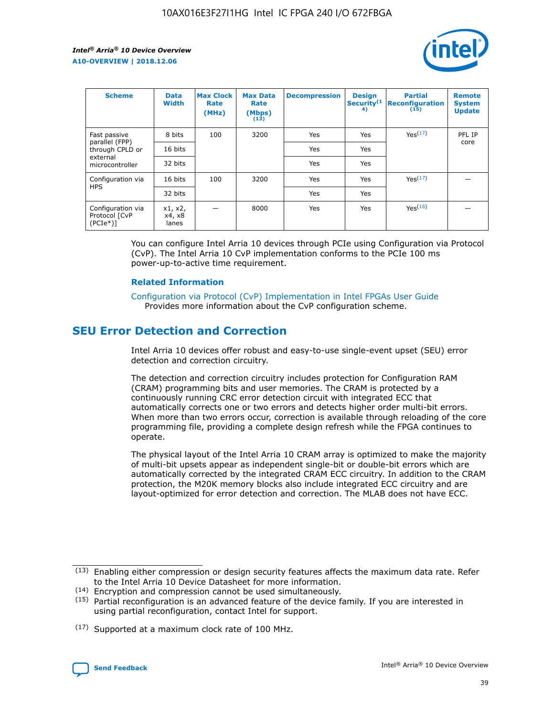

| <b>Scheme</b>                                   | <b>Data</b><br><b>Width</b> | <b>Max Clock</b><br>Rate<br>(MHz) | <b>Max Data</b><br>Rate<br>(Mbps)<br>(13) | <b>Decompression</b> | <b>Design</b><br>Security <sup>(1</sup><br>4) | <b>Partial</b><br><b>Reconfiguration</b><br>(15) | <b>Remote</b><br><b>System</b><br><b>Update</b> |
|-------------------------------------------------|-----------------------------|-----------------------------------|-------------------------------------------|----------------------|-----------------------------------------------|--------------------------------------------------|-------------------------------------------------|
| Fast passive                                    | 8 bits                      | 100                               | 3200                                      | Yes                  | Yes                                           | Yes(17)                                          | PFL IP                                          |
| parallel (FPP)<br>through CPLD or               | 16 bits                     |                                   |                                           | Yes                  | Yes                                           |                                                  | core                                            |
| external<br>microcontroller                     | 32 bits                     |                                   |                                           | Yes                  | Yes                                           |                                                  |                                                 |
| Configuration via                               | 16 bits                     | 100                               | 3200                                      | Yes                  | Yes                                           | Yes <sup>(17)</sup>                              |                                                 |
| <b>HPS</b>                                      | 32 bits                     |                                   |                                           | Yes                  | Yes                                           |                                                  |                                                 |
| Configuration via<br>Protocol [CvP<br>$(PCIe*)$ | x1, x2,<br>x4, x8<br>lanes  |                                   | 8000                                      | Yes                  | Yes                                           | Yes <sup>(16)</sup>                              |                                                 |

You can configure Intel Arria 10 devices through PCIe using Configuration via Protocol (CvP). The Intel Arria 10 CvP implementation conforms to the PCIe 100 ms power-up-to-active time requirement.

#### **Related Information**

[Configuration via Protocol \(CvP\) Implementation in Intel FPGAs User Guide](https://www.intel.com/content/www/us/en/programmable/documentation/dsu1441819344145.html#dsu1442269728522) Provides more information about the CvP configuration scheme.

# **SEU Error Detection and Correction**

Intel Arria 10 devices offer robust and easy-to-use single-event upset (SEU) error detection and correction circuitry.

The detection and correction circuitry includes protection for Configuration RAM (CRAM) programming bits and user memories. The CRAM is protected by a continuously running CRC error detection circuit with integrated ECC that automatically corrects one or two errors and detects higher order multi-bit errors. When more than two errors occur, correction is available through reloading of the core programming file, providing a complete design refresh while the FPGA continues to operate.

The physical layout of the Intel Arria 10 CRAM array is optimized to make the majority of multi-bit upsets appear as independent single-bit or double-bit errors which are automatically corrected by the integrated CRAM ECC circuitry. In addition to the CRAM protection, the M20K memory blocks also include integrated ECC circuitry and are layout-optimized for error detection and correction. The MLAB does not have ECC.

(14) Encryption and compression cannot be used simultaneously.

<sup>(17)</sup> Supported at a maximum clock rate of 100 MHz.



 $(13)$  Enabling either compression or design security features affects the maximum data rate. Refer to the Intel Arria 10 Device Datasheet for more information.

 $(15)$  Partial reconfiguration is an advanced feature of the device family. If you are interested in using partial reconfiguration, contact Intel for support.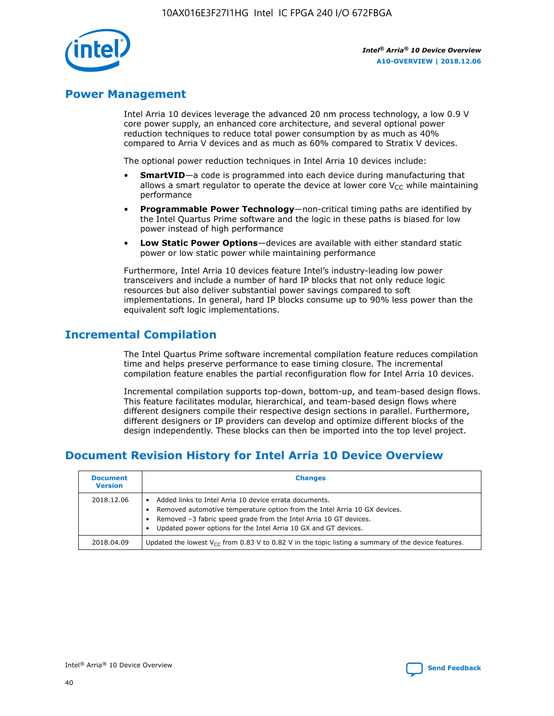

# **Power Management**

Intel Arria 10 devices leverage the advanced 20 nm process technology, a low 0.9 V core power supply, an enhanced core architecture, and several optional power reduction techniques to reduce total power consumption by as much as 40% compared to Arria V devices and as much as 60% compared to Stratix V devices.

The optional power reduction techniques in Intel Arria 10 devices include:

- **SmartVID**—a code is programmed into each device during manufacturing that allows a smart regulator to operate the device at lower core  $V_{CC}$  while maintaining performance
- **Programmable Power Technology**—non-critical timing paths are identified by the Intel Quartus Prime software and the logic in these paths is biased for low power instead of high performance
- **Low Static Power Options**—devices are available with either standard static power or low static power while maintaining performance

Furthermore, Intel Arria 10 devices feature Intel's industry-leading low power transceivers and include a number of hard IP blocks that not only reduce logic resources but also deliver substantial power savings compared to soft implementations. In general, hard IP blocks consume up to 90% less power than the equivalent soft logic implementations.

# **Incremental Compilation**

The Intel Quartus Prime software incremental compilation feature reduces compilation time and helps preserve performance to ease timing closure. The incremental compilation feature enables the partial reconfiguration flow for Intel Arria 10 devices.

Incremental compilation supports top-down, bottom-up, and team-based design flows. This feature facilitates modular, hierarchical, and team-based design flows where different designers compile their respective design sections in parallel. Furthermore, different designers or IP providers can develop and optimize different blocks of the design independently. These blocks can then be imported into the top level project.

# **Document Revision History for Intel Arria 10 Device Overview**

| <b>Document</b><br><b>Version</b> | <b>Changes</b>                                                                                                                                                                                                                                                              |
|-----------------------------------|-----------------------------------------------------------------------------------------------------------------------------------------------------------------------------------------------------------------------------------------------------------------------------|
| 2018.12.06                        | Added links to Intel Arria 10 device errata documents.<br>Removed automotive temperature option from the Intel Arria 10 GX devices.<br>Removed -3 fabric speed grade from the Intel Arria 10 GT devices.<br>Updated power options for the Intel Arria 10 GX and GT devices. |
| 2018.04.09                        | Updated the lowest $V_{CC}$ from 0.83 V to 0.82 V in the topic listing a summary of the device features.                                                                                                                                                                    |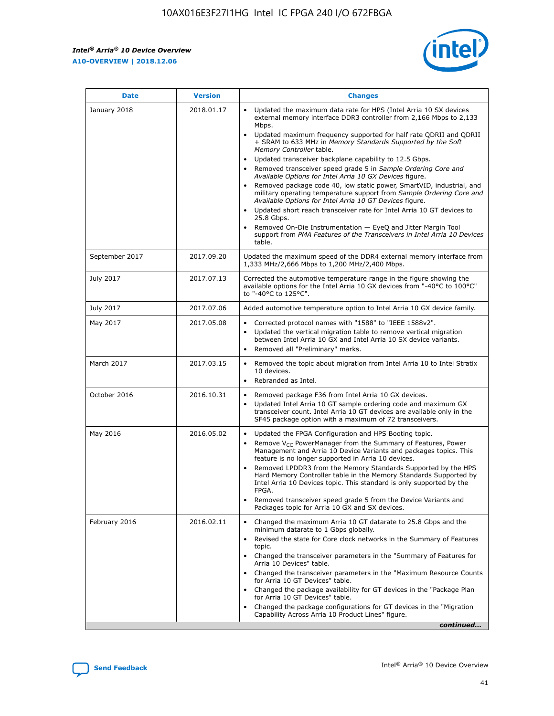F

 $\mathsf{r}$ 



| January 2018<br>Updated the maximum data rate for HPS (Intel Arria 10 SX devices<br>2018.01.17<br>external memory interface DDR3 controller from 2,166 Mbps to 2,133<br>Mbps.<br>$\bullet$<br>+ SRAM to 633 MHz in Memory Standards Supported by the Soft<br>Memory Controller table.<br>Updated transceiver backplane capability to 12.5 Gbps.<br>$\bullet$<br>Removed transceiver speed grade 5 in Sample Ordering Core and<br>Available Options for Intel Arria 10 GX Devices figure.<br>Available Options for Intel Arria 10 GT Devices figure.<br>Updated short reach transceiver rate for Intel Arria 10 GT devices to<br>$\bullet$<br>25.8 Gbps.<br>Removed On-Die Instrumentation - EyeQ and Jitter Margin Tool<br>table.<br>2017.09.20<br>September 2017<br>1,333 MHz/2,666 Mbps to 1,200 MHz/2,400 Mbps.<br>July 2017<br>2017.07.13<br>Corrected the automotive temperature range in the figure showing the<br>available options for the Intel Arria 10 GX devices from "-40°C to 100°C"<br>to "-40°C to 125°C".<br>July 2017<br>2017.07.06<br>Added automotive temperature option to Intel Arria 10 GX device family.<br>2017.05.08<br>Corrected protocol names with "1588" to "IEEE 1588v2".<br>May 2017<br>$\bullet$<br>Updated the vertical migration table to remove vertical migration<br>$\bullet$<br>between Intel Arria 10 GX and Intel Arria 10 SX device variants.<br>Removed all "Preliminary" marks.<br>2017.03.15<br>March 2017<br>Removed the topic about migration from Intel Arria 10 to Intel Stratix<br>10 devices.<br>Rebranded as Intel.<br>$\bullet$<br>October 2016<br>2016.10.31<br>Removed package F36 from Intel Arria 10 GX devices.<br>$\bullet$<br>Updated Intel Arria 10 GT sample ordering code and maximum GX<br>$\bullet$<br>transceiver count. Intel Arria 10 GT devices are available only in the<br>SF45 package option with a maximum of 72 transceivers.<br>May 2016<br>2016.05.02<br>Updated the FPGA Configuration and HPS Booting topic.<br>Remove $V_{CC}$ PowerManager from the Summary of Features, Power<br>Management and Arria 10 Device Variants and packages topics. This<br>feature is no longer supported in Arria 10 devices.<br>Removed LPDDR3 from the Memory Standards Supported by the HPS<br>Hard Memory Controller table in the Memory Standards Supported by<br>Intel Arria 10 Devices topic. This standard is only supported by the<br>FPGA.<br>Removed transceiver speed grade 5 from the Device Variants and<br>Packages topic for Arria 10 GX and SX devices.<br>Changed the maximum Arria 10 GT datarate to 25.8 Gbps and the<br>February 2016<br>2016.02.11<br>minimum datarate to 1 Gbps globally.<br>Revised the state for Core clock networks in the Summary of Features<br>$\bullet$<br>topic.<br>• Changed the transceiver parameters in the "Summary of Features for<br>Arria 10 Devices" table.<br>for Arria 10 GT Devices" table.<br>• Changed the package availability for GT devices in the "Package Plan<br>for Arria 10 GT Devices" table.<br>Changed the package configurations for GT devices in the "Migration"<br>Capability Across Arria 10 Product Lines" figure. | <b>Date</b> | <b>Version</b> | <b>Changes</b>                                                                                                                                                                                                                                                                               |
|----------------------------------------------------------------------------------------------------------------------------------------------------------------------------------------------------------------------------------------------------------------------------------------------------------------------------------------------------------------------------------------------------------------------------------------------------------------------------------------------------------------------------------------------------------------------------------------------------------------------------------------------------------------------------------------------------------------------------------------------------------------------------------------------------------------------------------------------------------------------------------------------------------------------------------------------------------------------------------------------------------------------------------------------------------------------------------------------------------------------------------------------------------------------------------------------------------------------------------------------------------------------------------------------------------------------------------------------------------------------------------------------------------------------------------------------------------------------------------------------------------------------------------------------------------------------------------------------------------------------------------------------------------------------------------------------------------------------------------------------------------------------------------------------------------------------------------------------------------------------------------------------------------------------------------------------------------------------------------------------------------------------------------------------------------------------------------------------------------------------------------------------------------------------------------------------------------------------------------------------------------------------------------------------------------------------------------------------------------------------------------------------------------------------------------------------------------------------------------------------------------------------------------------------------------------------------------------------------------------------------------------------------------------------------------------------------------------------------------------------------------------------------------------------------------------------------------------------------------------------------------------------------------------------------------------------------------------------------------------------------------------------------------------------------------------------------------------------------------------------------------------------------------------|-------------|----------------|----------------------------------------------------------------------------------------------------------------------------------------------------------------------------------------------------------------------------------------------------------------------------------------------|
|                                                                                                                                                                                                                                                                                                                                                                                                                                                                                                                                                                                                                                                                                                                                                                                                                                                                                                                                                                                                                                                                                                                                                                                                                                                                                                                                                                                                                                                                                                                                                                                                                                                                                                                                                                                                                                                                                                                                                                                                                                                                                                                                                                                                                                                                                                                                                                                                                                                                                                                                                                                                                                                                                                                                                                                                                                                                                                                                                                                                                                                                                                                                                                |             |                | Updated maximum frequency supported for half rate QDRII and QDRII<br>Removed package code 40, low static power, SmartVID, industrial, and<br>military operating temperature support from Sample Ordering Core and<br>support from PMA Features of the Transceivers in Intel Arria 10 Devices |
|                                                                                                                                                                                                                                                                                                                                                                                                                                                                                                                                                                                                                                                                                                                                                                                                                                                                                                                                                                                                                                                                                                                                                                                                                                                                                                                                                                                                                                                                                                                                                                                                                                                                                                                                                                                                                                                                                                                                                                                                                                                                                                                                                                                                                                                                                                                                                                                                                                                                                                                                                                                                                                                                                                                                                                                                                                                                                                                                                                                                                                                                                                                                                                |             |                | Updated the maximum speed of the DDR4 external memory interface from                                                                                                                                                                                                                         |
|                                                                                                                                                                                                                                                                                                                                                                                                                                                                                                                                                                                                                                                                                                                                                                                                                                                                                                                                                                                                                                                                                                                                                                                                                                                                                                                                                                                                                                                                                                                                                                                                                                                                                                                                                                                                                                                                                                                                                                                                                                                                                                                                                                                                                                                                                                                                                                                                                                                                                                                                                                                                                                                                                                                                                                                                                                                                                                                                                                                                                                                                                                                                                                |             |                |                                                                                                                                                                                                                                                                                              |
|                                                                                                                                                                                                                                                                                                                                                                                                                                                                                                                                                                                                                                                                                                                                                                                                                                                                                                                                                                                                                                                                                                                                                                                                                                                                                                                                                                                                                                                                                                                                                                                                                                                                                                                                                                                                                                                                                                                                                                                                                                                                                                                                                                                                                                                                                                                                                                                                                                                                                                                                                                                                                                                                                                                                                                                                                                                                                                                                                                                                                                                                                                                                                                |             |                |                                                                                                                                                                                                                                                                                              |
|                                                                                                                                                                                                                                                                                                                                                                                                                                                                                                                                                                                                                                                                                                                                                                                                                                                                                                                                                                                                                                                                                                                                                                                                                                                                                                                                                                                                                                                                                                                                                                                                                                                                                                                                                                                                                                                                                                                                                                                                                                                                                                                                                                                                                                                                                                                                                                                                                                                                                                                                                                                                                                                                                                                                                                                                                                                                                                                                                                                                                                                                                                                                                                |             |                |                                                                                                                                                                                                                                                                                              |
|                                                                                                                                                                                                                                                                                                                                                                                                                                                                                                                                                                                                                                                                                                                                                                                                                                                                                                                                                                                                                                                                                                                                                                                                                                                                                                                                                                                                                                                                                                                                                                                                                                                                                                                                                                                                                                                                                                                                                                                                                                                                                                                                                                                                                                                                                                                                                                                                                                                                                                                                                                                                                                                                                                                                                                                                                                                                                                                                                                                                                                                                                                                                                                |             |                |                                                                                                                                                                                                                                                                                              |
|                                                                                                                                                                                                                                                                                                                                                                                                                                                                                                                                                                                                                                                                                                                                                                                                                                                                                                                                                                                                                                                                                                                                                                                                                                                                                                                                                                                                                                                                                                                                                                                                                                                                                                                                                                                                                                                                                                                                                                                                                                                                                                                                                                                                                                                                                                                                                                                                                                                                                                                                                                                                                                                                                                                                                                                                                                                                                                                                                                                                                                                                                                                                                                |             |                |                                                                                                                                                                                                                                                                                              |
|                                                                                                                                                                                                                                                                                                                                                                                                                                                                                                                                                                                                                                                                                                                                                                                                                                                                                                                                                                                                                                                                                                                                                                                                                                                                                                                                                                                                                                                                                                                                                                                                                                                                                                                                                                                                                                                                                                                                                                                                                                                                                                                                                                                                                                                                                                                                                                                                                                                                                                                                                                                                                                                                                                                                                                                                                                                                                                                                                                                                                                                                                                                                                                |             |                |                                                                                                                                                                                                                                                                                              |
|                                                                                                                                                                                                                                                                                                                                                                                                                                                                                                                                                                                                                                                                                                                                                                                                                                                                                                                                                                                                                                                                                                                                                                                                                                                                                                                                                                                                                                                                                                                                                                                                                                                                                                                                                                                                                                                                                                                                                                                                                                                                                                                                                                                                                                                                                                                                                                                                                                                                                                                                                                                                                                                                                                                                                                                                                                                                                                                                                                                                                                                                                                                                                                |             |                | Changed the transceiver parameters in the "Maximum Resource Counts"<br>continued                                                                                                                                                                                                             |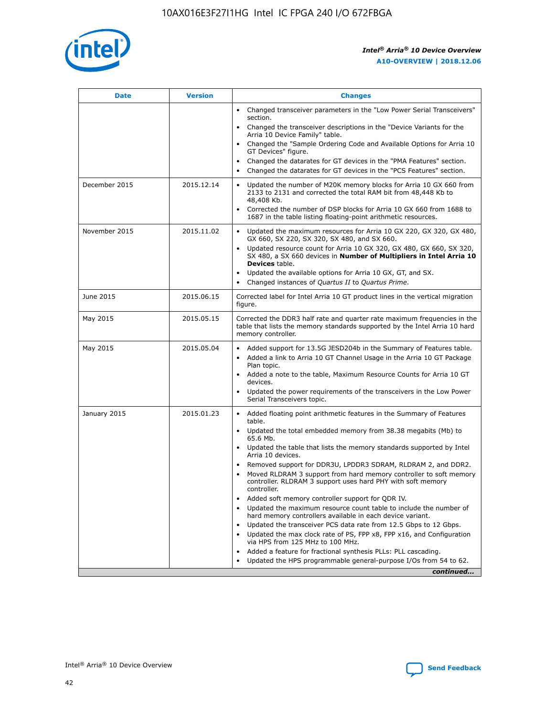

| <b>Date</b>   | <b>Version</b> | <b>Changes</b>                                                                                                                                                                   |
|---------------|----------------|----------------------------------------------------------------------------------------------------------------------------------------------------------------------------------|
|               |                | • Changed transceiver parameters in the "Low Power Serial Transceivers"<br>section.                                                                                              |
|               |                | • Changed the transceiver descriptions in the "Device Variants for the<br>Arria 10 Device Family" table.                                                                         |
|               |                | Changed the "Sample Ordering Code and Available Options for Arria 10<br>GT Devices" figure.                                                                                      |
|               |                | Changed the datarates for GT devices in the "PMA Features" section.                                                                                                              |
|               |                | Changed the datarates for GT devices in the "PCS Features" section.<br>$\bullet$                                                                                                 |
| December 2015 | 2015.12.14     | Updated the number of M20K memory blocks for Arria 10 GX 660 from<br>$\bullet$<br>2133 to 2131 and corrected the total RAM bit from 48,448 Kb to<br>48,408 Kb.                   |
|               |                | Corrected the number of DSP blocks for Arria 10 GX 660 from 1688 to<br>$\bullet$<br>1687 in the table listing floating-point arithmetic resources.                               |
| November 2015 | 2015.11.02     | Updated the maximum resources for Arria 10 GX 220, GX 320, GX 480,<br>$\bullet$<br>GX 660, SX 220, SX 320, SX 480, and SX 660.                                                   |
|               |                | Updated resource count for Arria 10 GX 320, GX 480, GX 660, SX 320,<br>$\bullet$<br>SX 480, a SX 660 devices in Number of Multipliers in Intel Arria 10<br><b>Devices</b> table. |
|               |                | Updated the available options for Arria 10 GX, GT, and SX.<br>$\bullet$                                                                                                          |
|               |                | Changed instances of Quartus II to Quartus Prime.<br>$\bullet$                                                                                                                   |
| June 2015     | 2015.06.15     | Corrected label for Intel Arria 10 GT product lines in the vertical migration<br>figure.                                                                                         |
| May 2015      | 2015.05.15     | Corrected the DDR3 half rate and quarter rate maximum frequencies in the<br>table that lists the memory standards supported by the Intel Arria 10 hard<br>memory controller.     |
| May 2015      | 2015.05.04     | • Added support for 13.5G JESD204b in the Summary of Features table.<br>• Added a link to Arria 10 GT Channel Usage in the Arria 10 GT Package<br>Plan topic.                    |
|               |                | • Added a note to the table, Maximum Resource Counts for Arria 10 GT<br>devices.                                                                                                 |
|               |                | Updated the power requirements of the transceivers in the Low Power<br>Serial Transceivers topic.                                                                                |
| January 2015  | 2015.01.23     | • Added floating point arithmetic features in the Summary of Features<br>table.                                                                                                  |
|               |                | • Updated the total embedded memory from 38.38 megabits (Mb) to<br>65.6 Mb.                                                                                                      |
|               |                | • Updated the table that lists the memory standards supported by Intel<br>Arria 10 devices.                                                                                      |
|               |                | Removed support for DDR3U, LPDDR3 SDRAM, RLDRAM 2, and DDR2.<br>Moved RLDRAM 3 support from hard memory controller to soft memory                                                |
|               |                | controller. RLDRAM 3 support uses hard PHY with soft memory<br>controller.                                                                                                       |
|               |                | Added soft memory controller support for QDR IV.                                                                                                                                 |
|               |                | Updated the maximum resource count table to include the number of<br>hard memory controllers available in each device variant.                                                   |
|               |                | Updated the transceiver PCS data rate from 12.5 Gbps to 12 Gbps.<br>$\bullet$                                                                                                    |
|               |                | Updated the max clock rate of PS, FPP x8, FPP x16, and Configuration<br>via HPS from 125 MHz to 100 MHz.                                                                         |
|               |                | Added a feature for fractional synthesis PLLs: PLL cascading.                                                                                                                    |
|               |                | Updated the HPS programmable general-purpose I/Os from 54 to 62.<br>$\bullet$                                                                                                    |
|               |                | continued                                                                                                                                                                        |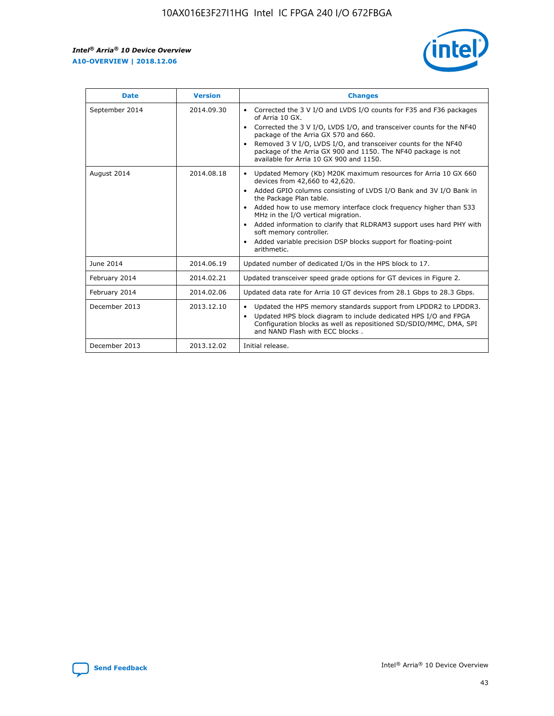r



| <b>Date</b>    | <b>Version</b> | <b>Changes</b>                                                                                                                                                                                                                                                                                                                                                                                                                                                                                                                         |
|----------------|----------------|----------------------------------------------------------------------------------------------------------------------------------------------------------------------------------------------------------------------------------------------------------------------------------------------------------------------------------------------------------------------------------------------------------------------------------------------------------------------------------------------------------------------------------------|
| September 2014 | 2014.09.30     | Corrected the 3 V I/O and LVDS I/O counts for F35 and F36 packages<br>of Arria 10 GX.<br>Corrected the 3 V I/O, LVDS I/O, and transceiver counts for the NF40<br>$\bullet$<br>package of the Arria GX 570 and 660.<br>Removed 3 V I/O, LVDS I/O, and transceiver counts for the NF40<br>package of the Arria GX 900 and 1150. The NF40 package is not<br>available for Arria 10 GX 900 and 1150.                                                                                                                                       |
| August 2014    | 2014.08.18     | Updated Memory (Kb) M20K maximum resources for Arria 10 GX 660<br>devices from 42,660 to 42,620.<br>Added GPIO columns consisting of LVDS I/O Bank and 3V I/O Bank in<br>$\bullet$<br>the Package Plan table.<br>Added how to use memory interface clock frequency higher than 533<br>$\bullet$<br>MHz in the I/O vertical migration.<br>Added information to clarify that RLDRAM3 support uses hard PHY with<br>$\bullet$<br>soft memory controller.<br>Added variable precision DSP blocks support for floating-point<br>arithmetic. |
| June 2014      | 2014.06.19     | Updated number of dedicated I/Os in the HPS block to 17.                                                                                                                                                                                                                                                                                                                                                                                                                                                                               |
| February 2014  | 2014.02.21     | Updated transceiver speed grade options for GT devices in Figure 2.                                                                                                                                                                                                                                                                                                                                                                                                                                                                    |
| February 2014  | 2014.02.06     | Updated data rate for Arria 10 GT devices from 28.1 Gbps to 28.3 Gbps.                                                                                                                                                                                                                                                                                                                                                                                                                                                                 |
| December 2013  | 2013.12.10     | Updated the HPS memory standards support from LPDDR2 to LPDDR3.<br>Updated HPS block diagram to include dedicated HPS I/O and FPGA<br>$\bullet$<br>Configuration blocks as well as repositioned SD/SDIO/MMC, DMA, SPI<br>and NAND Flash with ECC blocks.                                                                                                                                                                                                                                                                               |
| December 2013  | 2013.12.02     | Initial release.                                                                                                                                                                                                                                                                                                                                                                                                                                                                                                                       |